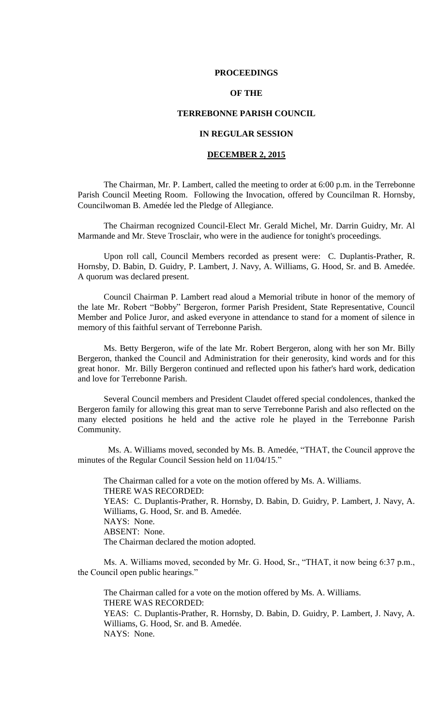### **PROCEEDINGS**

# **OF THE**

## **TERREBONNE PARISH COUNCIL**

# **IN REGULAR SESSION**

# **DECEMBER 2, 2015**

The Chairman, Mr. P. Lambert, called the meeting to order at 6:00 p.m. in the Terrebonne Parish Council Meeting Room. Following the Invocation, offered by Councilman R. Hornsby, Councilwoman B. Amedée led the Pledge of Allegiance.

The Chairman recognized Council-Elect Mr. Gerald Michel, Mr. Darrin Guidry, Mr. Al Marmande and Mr. Steve Trosclair, who were in the audience for tonight's proceedings.

Upon roll call, Council Members recorded as present were: C. Duplantis-Prather, R. Hornsby, D. Babin, D. Guidry, P. Lambert, J. Navy, A. Williams, G. Hood, Sr. and B. Amedée. A quorum was declared present.

Council Chairman P. Lambert read aloud a Memorial tribute in honor of the memory of the late Mr. Robert "Bobby" Bergeron, former Parish President, State Representative, Council Member and Police Juror, and asked everyone in attendance to stand for a moment of silence in memory of this faithful servant of Terrebonne Parish.

Ms. Betty Bergeron, wife of the late Mr. Robert Bergeron, along with her son Mr. Billy Bergeron, thanked the Council and Administration for their generosity, kind words and for this great honor. Mr. Billy Bergeron continued and reflected upon his father's hard work, dedication and love for Terrebonne Parish.

Several Council members and President Claudet offered special condolences, thanked the Bergeron family for allowing this great man to serve Terrebonne Parish and also reflected on the many elected positions he held and the active role he played in the Terrebonne Parish Community.

 Ms. A. Williams moved, seconded by Ms. B. Amedée, "THAT, the Council approve the minutes of the Regular Council Session held on 11/04/15."

The Chairman called for a vote on the motion offered by Ms. A. Williams. THERE WAS RECORDED: YEAS: C. Duplantis-Prather, R. Hornsby, D. Babin, D. Guidry, P. Lambert, J. Navy, A. Williams, G. Hood, Sr. and B. Amedée. NAYS: None. ABSENT: None. The Chairman declared the motion adopted.

Ms. A. Williams moved, seconded by Mr. G. Hood, Sr., "THAT, it now being 6:37 p.m., the Council open public hearings."

The Chairman called for a vote on the motion offered by Ms. A. Williams. THERE WAS RECORDED: YEAS: C. Duplantis-Prather, R. Hornsby, D. Babin, D. Guidry, P. Lambert, J. Navy, A. Williams, G. Hood, Sr. and B. Amedée. NAYS: None.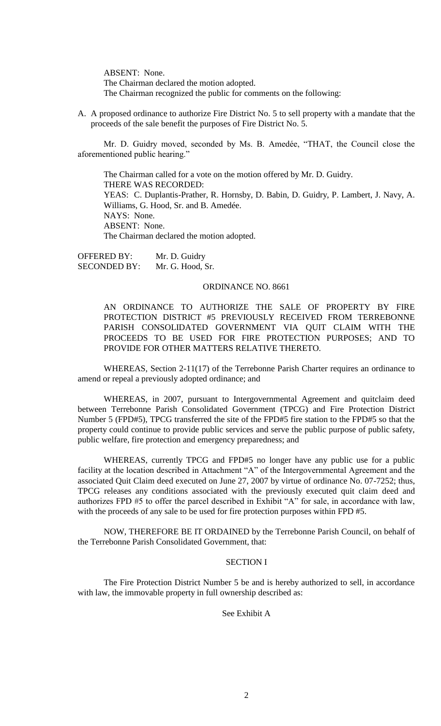ABSENT: None. The Chairman declared the motion adopted. The Chairman recognized the public for comments on the following:

A. A proposed ordinance to authorize Fire District No. 5 to sell property with a mandate that the proceeds of the sale benefit the purposes of Fire District No. 5.

Mr. D. Guidry moved, seconded by Ms. B. Amedée, "THAT, the Council close the aforementioned public hearing."

The Chairman called for a vote on the motion offered by Mr. D. Guidry. THERE WAS RECORDED: YEAS: C. Duplantis-Prather, R. Hornsby, D. Babin, D. Guidry, P. Lambert, J. Navy, A. Williams, G. Hood, Sr. and B. Amedée. NAYS: None. ABSENT: None. The Chairman declared the motion adopted.

OFFERED BY: Mr. D. Guidry SECONDED BY: Mr. G. Hood, Sr.

## ORDINANCE NO. 8661

AN ORDINANCE TO AUTHORIZE THE SALE OF PROPERTY BY FIRE PROTECTION DISTRICT #5 PREVIOUSLY RECEIVED FROM TERREBONNE PARISH CONSOLIDATED GOVERNMENT VIA QUIT CLAIM WITH THE PROCEEDS TO BE USED FOR FIRE PROTECTION PURPOSES; AND TO PROVIDE FOR OTHER MATTERS RELATIVE THERETO.

WHEREAS, Section 2-11(17) of the Terrebonne Parish Charter requires an ordinance to amend or repeal a previously adopted ordinance; and

WHEREAS, in 2007, pursuant to Intergovernmental Agreement and quitclaim deed between Terrebonne Parish Consolidated Government (TPCG) and Fire Protection District Number 5 (FPD#5), TPCG transferred the site of the FPD#5 fire station to the FPD#5 so that the property could continue to provide public services and serve the public purpose of public safety, public welfare, fire protection and emergency preparedness; and

WHEREAS, currently TPCG and FPD#5 no longer have any public use for a public facility at the location described in Attachment "A" of the Intergovernmental Agreement and the associated Quit Claim deed executed on June 27, 2007 by virtue of ordinance No. 07-7252; thus, TPCG releases any conditions associated with the previously executed quit claim deed and authorizes FPD #5 to offer the parcel described in Exhibit "A" for sale, in accordance with law, with the proceeds of any sale to be used for fire protection purposes within FPD #5.

NOW, THEREFORE BE IT ORDAINED by the Terrebonne Parish Council, on behalf of the Terrebonne Parish Consolidated Government, that:

# SECTION I

The Fire Protection District Number 5 be and is hereby authorized to sell, in accordance with law, the immovable property in full ownership described as:

See Exhibit A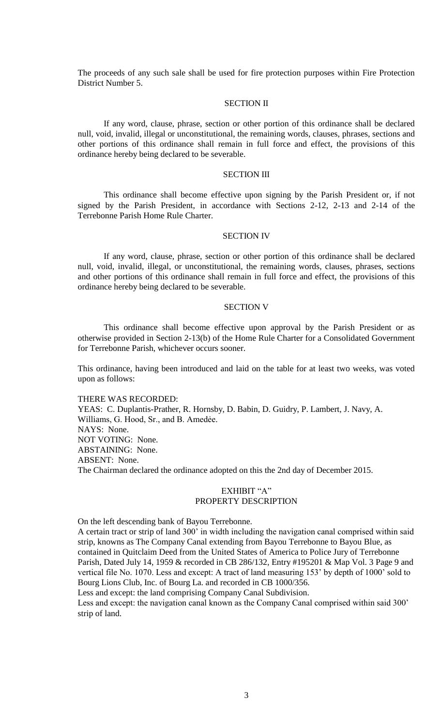The proceeds of any such sale shall be used for fire protection purposes within Fire Protection District Number 5.

## SECTION II

If any word, clause, phrase, section or other portion of this ordinance shall be declared null, void, invalid, illegal or unconstitutional, the remaining words, clauses, phrases, sections and other portions of this ordinance shall remain in full force and effect, the provisions of this ordinance hereby being declared to be severable.

### SECTION III

This ordinance shall become effective upon signing by the Parish President or, if not signed by the Parish President, in accordance with Sections 2-12, 2-13 and 2-14 of the Terrebonne Parish Home Rule Charter.

# SECTION IV

If any word, clause, phrase, section or other portion of this ordinance shall be declared null, void, invalid, illegal, or unconstitutional, the remaining words, clauses, phrases, sections and other portions of this ordinance shall remain in full force and effect, the provisions of this ordinance hereby being declared to be severable.

### SECTION V

This ordinance shall become effective upon approval by the Parish President or as otherwise provided in Section 2-13(b) of the Home Rule Charter for a Consolidated Government for Terrebonne Parish, whichever occurs sooner.

This ordinance, having been introduced and laid on the table for at least two weeks, was voted upon as follows:

THERE WAS RECORDED:

YEAS: C. Duplantis-Prather, R. Hornsby, D. Babin, D. Guidry, P. Lambert, J. Navy, A. Williams, G. Hood, Sr., and B. Amedée. NAYS: None. NOT VOTING: None. ABSTAINING: None. ABSENT: None. The Chairman declared the ordinance adopted on this the 2nd day of December 2015.

# EXHIBIT "A" PROPERTY DESCRIPTION

On the left descending bank of Bayou Terrebonne.

A certain tract or strip of land 300' in width including the navigation canal comprised within said strip, knowns as The Company Canal extending from Bayou Terrebonne to Bayou Blue, as contained in Quitclaim Deed from the United States of America to Police Jury of Terrebonne Parish, Dated July 14, 1959 & recorded in CB 286/132, Entry #195201 & Map Vol. 3 Page 9 and vertical file No. 1070. Less and except: A tract of land measuring 153' by depth of 1000' sold to Bourg Lions Club, Inc. of Bourg La. and recorded in CB 1000/356.

Less and except: the land comprising Company Canal Subdivision.

Less and except: the navigation canal known as the Company Canal comprised within said 300' strip of land.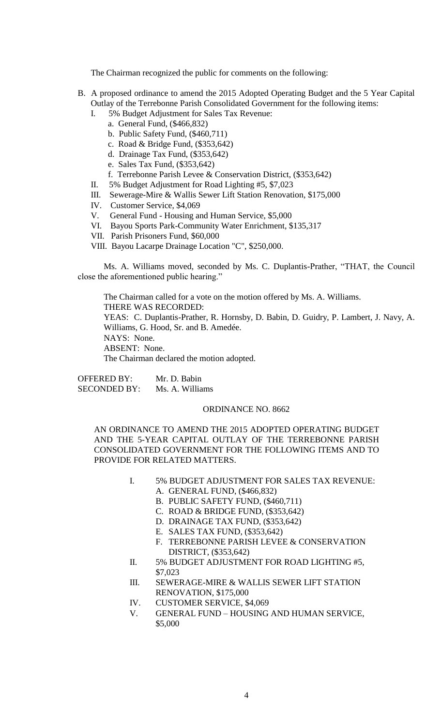The Chairman recognized the public for comments on the following:

- B. A proposed ordinance to amend the 2015 Adopted Operating Budget and the 5 Year Capital Outlay of the Terrebonne Parish Consolidated Government for the following items:
	- I. 5% Budget Adjustment for Sales Tax Revenue:
		- a. General Fund, (\$466,832)
		- b. Public Safety Fund, (\$460,711)
		- c. Road & Bridge Fund, (\$353,642)
		- d. Drainage Tax Fund, (\$353,642)
		- e. Sales Tax Fund, (\$353,642)
		- f. Terrebonne Parish Levee & Conservation District, (\$353,642)
	- II. 5% Budget Adjustment for Road Lighting #5, \$7,023
	- III. Sewerage-Mire & Wallis Sewer Lift Station Renovation, \$175,000
	- IV. Customer Service, \$4,069
	- V. General Fund Housing and Human Service, \$5,000
	- VI. Bayou Sports Park-Community Water Enrichment, \$135,317
	- VII. Parish Prisoners Fund, \$60,000
	- VIII. Bayou Lacarpe Drainage Location "C", \$250,000.

Ms. A. Williams moved, seconded by Ms. C. Duplantis-Prather, "THAT, the Council close the aforementioned public hearing."

The Chairman called for a vote on the motion offered by Ms. A. Williams. THERE WAS RECORDED: YEAS: C. Duplantis-Prather, R. Hornsby, D. Babin, D. Guidry, P. Lambert, J. Navy, A. Williams, G. Hood, Sr. and B. Amedée. NAYS: None. ABSENT: None. The Chairman declared the motion adopted.

OFFERED BY: Mr. D. Babin SECONDED BY: Ms. A. Williams

# ORDINANCE NO. 8662

AN ORDINANCE TO AMEND THE 2015 ADOPTED OPERATING BUDGET AND THE 5-YEAR CAPITAL OUTLAY OF THE TERREBONNE PARISH CONSOLIDATED GOVERNMENT FOR THE FOLLOWING ITEMS AND TO PROVIDE FOR RELATED MATTERS.

- I. 5% BUDGET ADJUSTMENT FOR SALES TAX REVENUE:
	- A. GENERAL FUND, (\$466,832)
	- B. PUBLIC SAFETY FUND, (\$460,711)
	- C. ROAD & BRIDGE FUND, (\$353,642)
	- D. DRAINAGE TAX FUND, (\$353,642)
	- E. SALES TAX FUND, (\$353,642)
	- F. TERREBONNE PARISH LEVEE & CONSERVATION DISTRICT, (\$353,642)
- II. 5% BUDGET ADJUSTMENT FOR ROAD LIGHTING #5, \$7,023
- III. SEWERAGE-MIRE & WALLIS SEWER LIFT STATION RENOVATION, \$175,000
- IV. CUSTOMER SERVICE, \$4,069
- V. GENERAL FUND HOUSING AND HUMAN SERVICE, \$5,000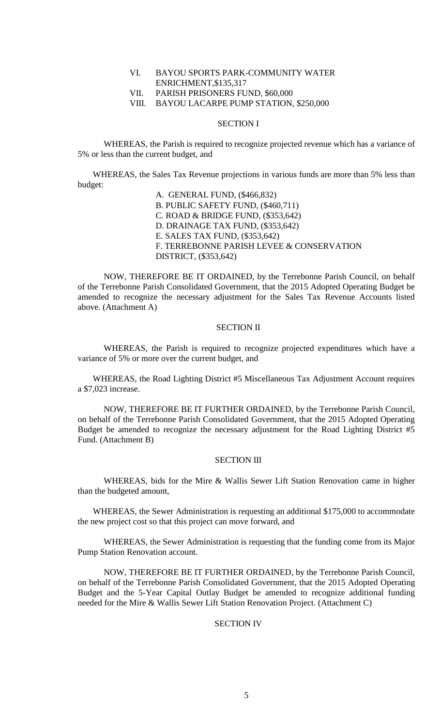# VI. BAYOU SPORTS PARK-COMMUNITY WATER ENRICHMENT,\$135,317 VII. PARISH PRISONERS FUND, \$60,000 VIII. BAYOU LACARPE PUMP STATION, \$250,000

## SECTION I

WHEREAS, the Parish is required to recognize projected revenue which has a variance of 5% or less than the current budget, and

WHEREAS, the Sales Tax Revenue projections in various funds are more than 5% less than budget:

A. GENERAL FUND, (\$466,832) B. PUBLIC SAFETY FUND, (\$460,711) C. ROAD & BRIDGE FUND, (\$353,642) D. DRAINAGE TAX FUND, (\$353,642) E. SALES TAX FUND, (\$353,642) F. TERREBONNE PARISH LEVEE & CONSERVATION DISTRICT, (\$353,642)

NOW, THEREFORE BE IT ORDAINED, by the Terrebonne Parish Council, on behalf of the Terrebonne Parish Consolidated Government, that the 2015 Adopted Operating Budget be amended to recognize the necessary adjustment for the Sales Tax Revenue Accounts listed above. (Attachment A)

## SECTION II

WHEREAS, the Parish is required to recognize projected expenditures which have a variance of 5% or more over the current budget, and

WHEREAS, the Road Lighting District #5 Miscellaneous Tax Adjustment Account requires a \$7,023 increase.

NOW, THEREFORE BE IT FURTHER ORDAINED, by the Terrebonne Parish Council, on behalf of the Terrebonne Parish Consolidated Government, that the 2015 Adopted Operating Budget be amended to recognize the necessary adjustment for the Road Lighting District #5 Fund. (Attachment B)

## SECTION III

WHEREAS, bids for the Mire & Wallis Sewer Lift Station Renovation came in higher than the budgeted amount,

WHEREAS, the Sewer Administration is requesting an additional \$175,000 to accommodate the new project cost so that this project can move forward, and

WHEREAS, the Sewer Administration is requesting that the funding come from its Major Pump Station Renovation account.

NOW, THEREFORE BE IT FURTHER ORDAINED, by the Terrebonne Parish Council, on behalf of the Terrebonne Parish Consolidated Government, that the 2015 Adopted Operating Budget and the 5-Year Capital Outlay Budget be amended to recognize additional funding needed for the Mire & Wallis Sewer Lift Station Renovation Project. (Attachment C)

## SECTION IV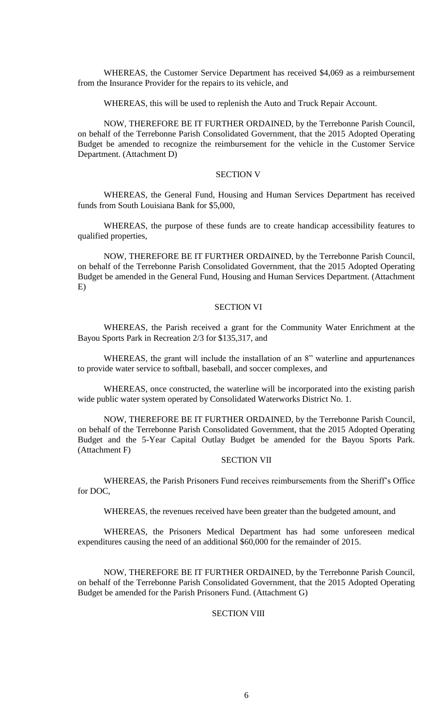WHEREAS, the Customer Service Department has received \$4,069 as a reimbursement from the Insurance Provider for the repairs to its vehicle, and

WHEREAS, this will be used to replenish the Auto and Truck Repair Account.

NOW, THEREFORE BE IT FURTHER ORDAINED, by the Terrebonne Parish Council, on behalf of the Terrebonne Parish Consolidated Government, that the 2015 Adopted Operating Budget be amended to recognize the reimbursement for the vehicle in the Customer Service Department. (Attachment D)

# SECTION V

WHEREAS, the General Fund, Housing and Human Services Department has received funds from South Louisiana Bank for \$5,000,

WHEREAS, the purpose of these funds are to create handicap accessibility features to qualified properties,

NOW, THEREFORE BE IT FURTHER ORDAINED, by the Terrebonne Parish Council, on behalf of the Terrebonne Parish Consolidated Government, that the 2015 Adopted Operating Budget be amended in the General Fund, Housing and Human Services Department. (Attachment E)

### SECTION VI

WHEREAS, the Parish received a grant for the Community Water Enrichment at the Bayou Sports Park in Recreation 2/3 for \$135,317, and

WHEREAS, the grant will include the installation of an 8" waterline and appurtenances to provide water service to softball, baseball, and soccer complexes, and

WHEREAS, once constructed, the waterline will be incorporated into the existing parish wide public water system operated by Consolidated Waterworks District No. 1.

NOW, THEREFORE BE IT FURTHER ORDAINED, by the Terrebonne Parish Council, on behalf of the Terrebonne Parish Consolidated Government, that the 2015 Adopted Operating Budget and the 5-Year Capital Outlay Budget be amended for the Bayou Sports Park. (Attachment F)

## SECTION VII

WHEREAS, the Parish Prisoners Fund receives reimbursements from the Sheriff's Office for DOC,

WHEREAS, the revenues received have been greater than the budgeted amount, and

WHEREAS, the Prisoners Medical Department has had some unforeseen medical expenditures causing the need of an additional \$60,000 for the remainder of 2015.

NOW, THEREFORE BE IT FURTHER ORDAINED, by the Terrebonne Parish Council, on behalf of the Terrebonne Parish Consolidated Government, that the 2015 Adopted Operating Budget be amended for the Parish Prisoners Fund. (Attachment G)

# **SECTION VIII**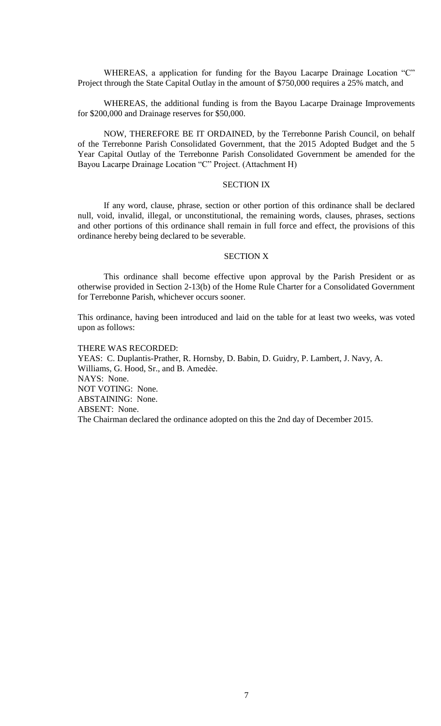WHEREAS, a application for funding for the Bayou Lacarpe Drainage Location "C" Project through the State Capital Outlay in the amount of \$750,000 requires a 25% match, and

WHEREAS, the additional funding is from the Bayou Lacarpe Drainage Improvements for \$200,000 and Drainage reserves for \$50,000.

NOW, THEREFORE BE IT ORDAINED, by the Terrebonne Parish Council, on behalf of the Terrebonne Parish Consolidated Government, that the 2015 Adopted Budget and the 5 Year Capital Outlay of the Terrebonne Parish Consolidated Government be amended for the Bayou Lacarpe Drainage Location "C" Project. (Attachment H)

#### SECTION IX

If any word, clause, phrase, section or other portion of this ordinance shall be declared null, void, invalid, illegal, or unconstitutional, the remaining words, clauses, phrases, sections and other portions of this ordinance shall remain in full force and effect, the provisions of this ordinance hereby being declared to be severable.

#### SECTION X

This ordinance shall become effective upon approval by the Parish President or as otherwise provided in Section 2-13(b) of the Home Rule Charter for a Consolidated Government for Terrebonne Parish, whichever occurs sooner.

This ordinance, having been introduced and laid on the table for at least two weeks, was voted upon as follows:

THERE WAS RECORDED: YEAS: C. Duplantis-Prather, R. Hornsby, D. Babin, D. Guidry, P. Lambert, J. Navy, A. Williams, G. Hood, Sr., and B. Amedẻe. NAYS: None. NOT VOTING: None. ABSTAINING: None. ABSENT: None. The Chairman declared the ordinance adopted on this the 2nd day of December 2015.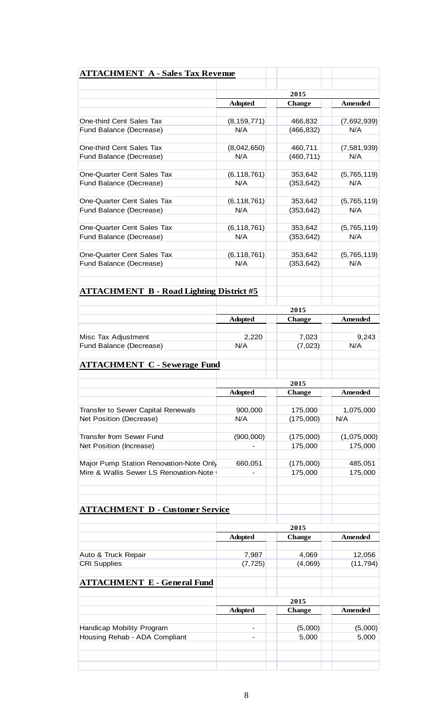| <b>ATTACHMENT A - Sales Tax Revenue</b>               |                      |                       |                    |  |
|-------------------------------------------------------|----------------------|-----------------------|--------------------|--|
|                                                       |                      | 2015                  |                    |  |
|                                                       | <b>Adopted</b>       | <b>Change</b>         | <b>Amended</b>     |  |
|                                                       |                      |                       |                    |  |
| One-third Cent Sales Tax                              | (8, 159, 771)        | 466,832               | (7,692,939)        |  |
| Fund Balance (Decrease)                               | N/A                  | (466, 832)            | N/A                |  |
| One-third Cent Sales Tax                              | (8,042,650)          | 460,711               | (7,581,939)        |  |
| Fund Balance (Decrease)                               | N/A                  | (460, 711)            | N/A                |  |
| One-Quarter Cent Sales Tax                            |                      | 353,642               |                    |  |
| Fund Balance (Decrease)                               | (6, 118, 761)<br>N/A |                       | (5,765,119)<br>N/A |  |
|                                                       |                      | (353, 642)            |                    |  |
| One-Quarter Cent Sales Tax                            | (6, 118, 761)        | 353,642               | (5,765,119)        |  |
| Fund Balance (Decrease)                               | N/A                  | (353, 642)            | N/A                |  |
| One-Quarter Cent Sales Tax                            | (6, 118, 761)        | 353,642               | (5,765,119)        |  |
| Fund Balance (Decrease)                               | N/A                  | (353, 642)            | N/A                |  |
|                                                       |                      |                       |                    |  |
| One-Quarter Cent Sales Tax<br>Fund Balance (Decrease) | (6, 118, 761)<br>N/A | 353,642<br>(353, 642) | (5,765,119)<br>N/A |  |
| <b>ATTACHMENT B - Road Lighting District #5</b>       |                      |                       |                    |  |
|                                                       |                      | 2015                  |                    |  |
|                                                       | <b>Adopted</b>       | <b>Change</b>         | Amended            |  |
| Misc Tax Adjustment                                   | 2,220                | 7,023                 | 9,243              |  |
| Fund Balance (Decrease)                               | N/A                  | (7,023)               | N/A                |  |
|                                                       |                      |                       |                    |  |
| <b>ATTACHMENT C - Sewerage Fund</b>                   |                      |                       |                    |  |
|                                                       |                      | 2015                  |                    |  |
|                                                       | <b>Adopted</b>       | <b>Change</b>         | Amended            |  |
| Transfer to Sewer Capital Renewals                    | 900,000              | 175,000               | 1,075,000          |  |
| Net Position (Decrease)                               | N/A                  | (175,000)             | N/A                |  |
| <b>Transfer from Sewer Fund</b>                       | (900,000)            | (175,000)             | (1,075,000)        |  |
|                                                       |                      |                       |                    |  |

| Net Position (Increase)                 |         | 175.000   | 175.000 |
|-----------------------------------------|---------|-----------|---------|
|                                         |         |           |         |
| Major Pump Station Renovation-Note Only | 660.051 | (175,000) | 485.051 |
| Mire & Wallis Sewer LS Renovation-Note  |         | 175.000   | 175,000 |
|                                         |         |           |         |
|                                         |         |           |         |

**ATTACHMENT D - Customer Service**

|                                    | 2015                     |               |           |  |
|------------------------------------|--------------------------|---------------|-----------|--|
|                                    | <b>Adopted</b>           | <b>Change</b> | Amended   |  |
|                                    |                          |               |           |  |
| Auto & Truck Repair                | 7,987                    | 4,069         | 12,056    |  |
| <b>CRI Supplies</b>                | (7, 725)                 | (4,069)       | (11, 794) |  |
|                                    |                          |               |           |  |
| <b>ATTACHMENT E - General Fund</b> |                          |               |           |  |
|                                    |                          |               |           |  |
|                                    | 2015                     |               |           |  |
|                                    | <b>Adopted</b>           | <b>Change</b> | Amended   |  |
|                                    |                          |               |           |  |
| Handicap Mobility Program          | $\overline{\phantom{a}}$ | (5,000)       | (5,000)   |  |
| Housing Rehab - ADA Compliant      | -                        | 5,000         | 5,000     |  |
|                                    |                          |               |           |  |
|                                    |                          |               |           |  |
|                                    |                          |               |           |  |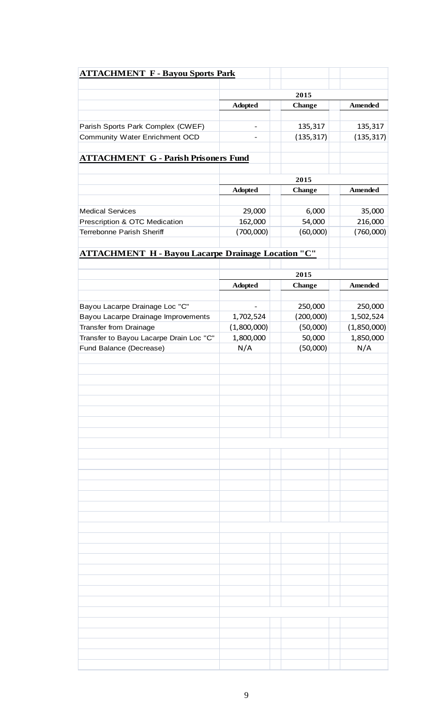| <b>ATTACHMENT F - Bayou Sports Park</b>                   |                   |               |                |
|-----------------------------------------------------------|-------------------|---------------|----------------|
|                                                           |                   |               |                |
|                                                           |                   | 2015          | <b>Amended</b> |
|                                                           | <b>Adopted</b>    | <b>Change</b> |                |
| Parish Sports Park Complex (CWEF)                         |                   | 135,317       | 135,317        |
| Community Water Enrichment OCD                            |                   | (135, 317)    | (135, 317)     |
|                                                           |                   |               |                |
| <b>ATTACHMENT G - Parish Prisoners Fund</b>               |                   |               |                |
|                                                           |                   | 2015          |                |
|                                                           | <b>Adopted</b>    | <b>Change</b> | <b>Amended</b> |
| <b>Medical Services</b>                                   |                   | 6,000         | 35,000         |
|                                                           | 29,000<br>162,000 | 54,000        | 216,000        |
| Prescription & OTC Medication                             |                   |               |                |
| Terrebonne Parish Sheriff                                 | (700,000)         | (60,000)      | (760,000)      |
| <b>ATTACHMENT H - Bayou Lacarpe Drainage Location "C"</b> |                   |               |                |
|                                                           |                   |               |                |
|                                                           |                   | 2015          |                |
|                                                           | <b>Adopted</b>    | <b>Change</b> | Amended        |
| Bayou Lacarpe Drainage Loc "C"                            |                   | 250,000       | 250,000        |
| Bayou Lacarpe Drainage Improvements                       | 1,702,524         | (200,000)     | 1,502,524      |
| <b>Transfer from Drainage</b>                             | (1,800,000)       | (50,000)      | (1,850,000)    |
| Transfer to Bayou Lacarpe Drain Loc "C"                   | 1,800,000         | 50,000        | 1,850,000      |
| Fund Balance (Decrease)                                   | N/A               | (50,000)      | N/A            |
|                                                           |                   |               |                |
|                                                           |                   |               |                |
|                                                           |                   |               |                |
|                                                           |                   |               |                |
|                                                           |                   |               |                |
|                                                           |                   |               |                |
|                                                           |                   |               |                |
|                                                           |                   |               |                |
|                                                           |                   |               |                |
|                                                           |                   |               |                |
|                                                           |                   |               |                |
|                                                           |                   |               |                |
|                                                           |                   |               |                |
|                                                           |                   |               |                |
|                                                           |                   |               |                |
|                                                           |                   |               |                |
|                                                           |                   |               |                |
|                                                           |                   |               |                |
|                                                           |                   |               |                |
|                                                           |                   |               |                |
|                                                           |                   |               |                |
|                                                           |                   |               |                |
|                                                           |                   |               |                |
|                                                           |                   |               |                |
|                                                           |                   |               |                |
|                                                           |                   |               |                |
|                                                           |                   |               |                |
|                                                           |                   |               |                |
|                                                           |                   |               |                |
|                                                           |                   |               |                |
|                                                           |                   |               |                |
|                                                           |                   |               |                |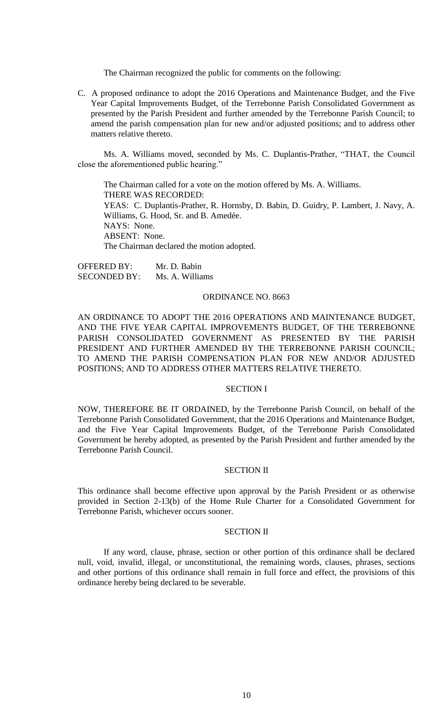The Chairman recognized the public for comments on the following:

C. A proposed ordinance to adopt the 2016 Operations and Maintenance Budget, and the Five Year Capital Improvements Budget, of the Terrebonne Parish Consolidated Government as presented by the Parish President and further amended by the Terrebonne Parish Council; to amend the parish compensation plan for new and/or adjusted positions; and to address other matters relative thereto.

Ms. A. Williams moved, seconded by Ms. C. Duplantis-Prather, "THAT, the Council close the aforementioned public hearing."

The Chairman called for a vote on the motion offered by Ms. A. Williams. THERE WAS RECORDED: YEAS: C. Duplantis-Prather, R. Hornsby, D. Babin, D. Guidry, P. Lambert, J. Navy, A. Williams, G. Hood, Sr. and B. Amedée. NAYS: None. ABSENT: None. The Chairman declared the motion adopted.

OFFERED BY: Mr. D. Babin SECONDED BY: Ms. A. Williams

#### ORDINANCE NO. 8663

AN ORDINANCE TO ADOPT THE 2016 OPERATIONS AND MAINTENANCE BUDGET, AND THE FIVE YEAR CAPITAL IMPROVEMENTS BUDGET, OF THE TERREBONNE PARISH CONSOLIDATED GOVERNMENT AS PRESENTED BY THE PARISH PRESIDENT AND FURTHER AMENDED BY THE TERREBONNE PARISH COUNCIL; TO AMEND THE PARISH COMPENSATION PLAN FOR NEW AND/OR ADJUSTED POSITIONS; AND TO ADDRESS OTHER MATTERS RELATIVE THERETO.

## SECTION I

NOW, THEREFORE BE IT ORDAINED, by the Terrebonne Parish Council, on behalf of the Terrebonne Parish Consolidated Government, that the 2016 Operations and Maintenance Budget, and the Five Year Capital Improvements Budget, of the Terrebonne Parish Consolidated Government be hereby adopted, as presented by the Parish President and further amended by the Terrebonne Parish Council.

## SECTION II

This ordinance shall become effective upon approval by the Parish President or as otherwise provided in Section 2-13(b) of the Home Rule Charter for a Consolidated Government for Terrebonne Parish, whichever occurs sooner.

### SECTION II

If any word, clause, phrase, section or other portion of this ordinance shall be declared null, void, invalid, illegal, or unconstitutional, the remaining words, clauses, phrases, sections and other portions of this ordinance shall remain in full force and effect, the provisions of this ordinance hereby being declared to be severable.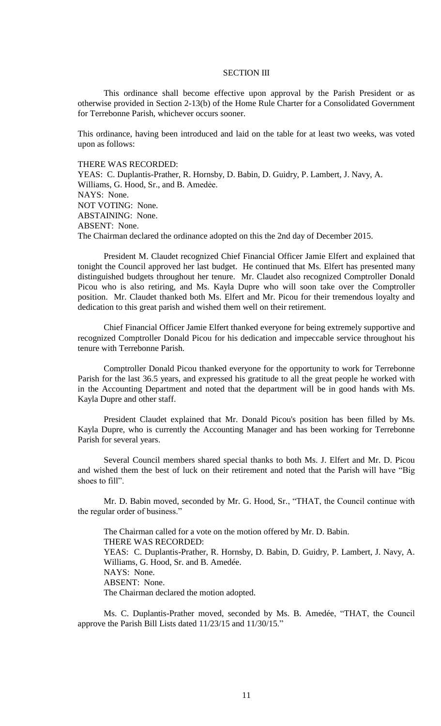### SECTION III

This ordinance shall become effective upon approval by the Parish President or as otherwise provided in Section 2-13(b) of the Home Rule Charter for a Consolidated Government for Terrebonne Parish, whichever occurs sooner.

This ordinance, having been introduced and laid on the table for at least two weeks, was voted upon as follows:

### THERE WAS RECORDED:

YEAS: C. Duplantis-Prather, R. Hornsby, D. Babin, D. Guidry, P. Lambert, J. Navy, A. Williams, G. Hood, Sr., and B. Amedẻe. NAYS: None. NOT VOTING: None. ABSTAINING: None. ABSENT: None. The Chairman declared the ordinance adopted on this the 2nd day of December 2015.

President M. Claudet recognized Chief Financial Officer Jamie Elfert and explained that tonight the Council approved her last budget. He continued that Ms. Elfert has presented many distinguished budgets throughout her tenure. Mr. Claudet also recognized Comptroller Donald Picou who is also retiring, and Ms. Kayla Dupre who will soon take over the Comptroller position. Mr. Claudet thanked both Ms. Elfert and Mr. Picou for their tremendous loyalty and dedication to this great parish and wished them well on their retirement.

Chief Financial Officer Jamie Elfert thanked everyone for being extremely supportive and recognized Comptroller Donald Picou for his dedication and impeccable service throughout his tenure with Terrebonne Parish.

Comptroller Donald Picou thanked everyone for the opportunity to work for Terrebonne Parish for the last 36.5 years, and expressed his gratitude to all the great people he worked with in the Accounting Department and noted that the department will be in good hands with Ms. Kayla Dupre and other staff.

President Claudet explained that Mr. Donald Picou's position has been filled by Ms. Kayla Dupre, who is currently the Accounting Manager and has been working for Terrebonne Parish for several years.

Several Council members shared special thanks to both Ms. J. Elfert and Mr. D. Picou and wished them the best of luck on their retirement and noted that the Parish will have "Big shoes to fill".

Mr. D. Babin moved, seconded by Mr. G. Hood, Sr., "THAT, the Council continue with the regular order of business."

The Chairman called for a vote on the motion offered by Mr. D. Babin. THERE WAS RECORDED: YEAS: C. Duplantis-Prather, R. Hornsby, D. Babin, D. Guidry, P. Lambert, J. Navy, A. Williams, G. Hood, Sr. and B. Amedée. NAYS: None. ABSENT: None. The Chairman declared the motion adopted.

Ms. C. Duplantis-Prather moved, seconded by Ms. B. Amedée, "THAT, the Council approve the Parish Bill Lists dated 11/23/15 and 11/30/15."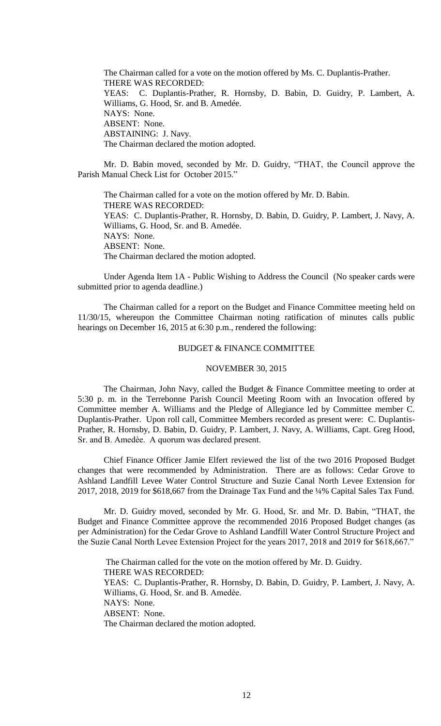The Chairman called for a vote on the motion offered by Ms. C. Duplantis-Prather. THERE WAS RECORDED: YEAS: C. Duplantis-Prather, R. Hornsby, D. Babin, D. Guidry, P. Lambert, A. Williams, G. Hood, Sr. and B. Amedée. NAYS: None. ABSENT: None. ABSTAINING: J. Navy. The Chairman declared the motion adopted.

Mr. D. Babin moved, seconded by Mr. D. Guidry, "THAT, the Council approve the Parish Manual Check List for October 2015."

The Chairman called for a vote on the motion offered by Mr. D. Babin. THERE WAS RECORDED: YEAS: C. Duplantis-Prather, R. Hornsby, D. Babin, D. Guidry, P. Lambert, J. Navy, A. Williams, G. Hood, Sr. and B. Amedée. NAYS: None. ABSENT: None. The Chairman declared the motion adopted.

Under Agenda Item 1A - Public Wishing to Address the Council (No speaker cards were submitted prior to agenda deadline.)

The Chairman called for a report on the Budget and Finance Committee meeting held on 11/30/15, whereupon the Committee Chairman noting ratification of minutes calls public hearings on December 16, 2015 at 6:30 p.m., rendered the following:

#### BUDGET & FINANCE COMMITTEE

#### NOVEMBER 30, 2015

The Chairman, John Navy, called the Budget & Finance Committee meeting to order at 5:30 p. m. in the Terrebonne Parish Council Meeting Room with an Invocation offered by Committee member A. Williams and the Pledge of Allegiance led by Committee member C. Duplantis-Prather. Upon roll call, Committee Members recorded as present were: C. Duplantis-Prather, R. Hornsby, D. Babin, D. Guidry, P. Lambert, J. Navy, A. Williams, Capt. Greg Hood, Sr. and B. Amedѐe. A quorum was declared present.

Chief Finance Officer Jamie Elfert reviewed the list of the two 2016 Proposed Budget changes that were recommended by Administration. There are as follows: Cedar Grove to Ashland Landfill Levee Water Control Structure and Suzie Canal North Levee Extension for 2017, 2018, 2019 for \$618,667 from the Drainage Tax Fund and the ¼% Capital Sales Tax Fund.

Mr. D. Guidry moved, seconded by Mr. G. Hood, Sr. and Mr. D. Babin, "THAT, the Budget and Finance Committee approve the recommended 2016 Proposed Budget changes (as per Administration) for the Cedar Grove to Ashland Landfill Water Control Structure Project and the Suzie Canal North Levee Extension Project for the years 2017, 2018 and 2019 for \$618,667."

The Chairman called for the vote on the motion offered by Mr. D. Guidry. THERE WAS RECORDED: YEAS: C. Duplantis-Prather, R. Hornsby, D. Babin, D. Guidry, P. Lambert, J. Navy, A. Williams, G. Hood, Sr. and B. Amedèe. NAYS: None. ABSENT: None. The Chairman declared the motion adopted.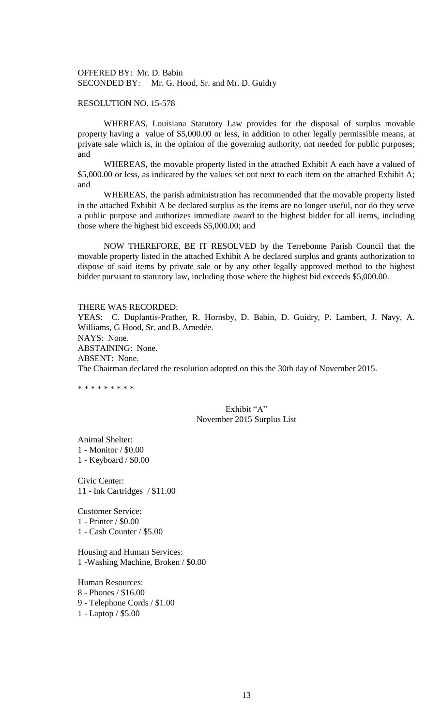OFFERED BY: Mr. D. Babin SECONDED BY: Mr. G. Hood, Sr. and Mr. D. Guidry

## RESOLUTION NO. 15-578

WHEREAS, Louisiana Statutory Law provides for the disposal of surplus movable property having a value of \$5,000.00 or less, in addition to other legally permissible means, at private sale which is, in the opinion of the governing authority, not needed for public purposes; and

WHEREAS, the movable property listed in the attached Exhibit A each have a valued of \$5,000.00 or less, as indicated by the values set out next to each item on the attached Exhibit A; and

WHEREAS, the parish administration has recommended that the movable property listed in the attached Exhibit A be declared surplus as the items are no longer useful, nor do they serve a public purpose and authorizes immediate award to the highest bidder for all items, including those where the highest bid exceeds \$5,000.00; and

NOW THEREFORE, BE IT RESOLVED by the Terrebonne Parish Council that the movable property listed in the attached Exhibit A be declared surplus and grants authorization to dispose of said items by private sale or by any other legally approved method to the highest bidder pursuant to statutory law, including those where the highest bid exceeds \$5,000.00.

#### THERE WAS RECORDED:

YEAS: C. Duplantis-Prather, R. Hornsby, D. Babin, D. Guidry, P. Lambert, J. Navy, A. Williams, G Hood, Sr. and B. Amedée. NAYS: None. ABSTAINING: None. ABSENT: None. The Chairman declared the resolution adopted on this the 30th day of November 2015.

\* \* \* \* \* \* \* \* \*

# Exhibit "A" November 2015 Surplus List

Animal Shelter: 1 - Monitor / \$0.00 1 - Keyboard / \$0.00

Civic Center: 11 - Ink Cartridges / \$11.00

Customer Service: 1 - Printer / \$0.00 1 - Cash Counter / \$5.00

Housing and Human Services: 1 -Washing Machine, Broken / \$0.00

Human Resources: 8 - Phones / \$16.00 9 - Telephone Cords / \$1.00 1 - Laptop / \$5.00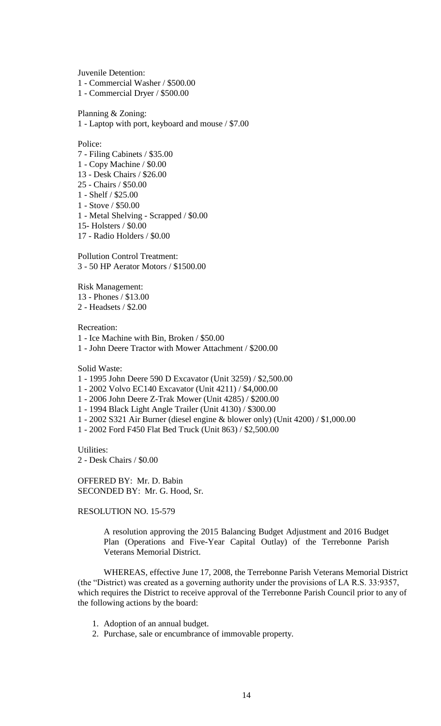Juvenile Detention:

1 - Commercial Washer / \$500.00

1 - Commercial Dryer / \$500.00

Planning & Zoning:

1 - Laptop with port, keyboard and mouse / \$7.00

Police:

7 - Filing Cabinets / \$35.00 1 - Copy Machine / \$0.00 13 - Desk Chairs / \$26.00 25 - Chairs / \$50.00 1 - Shelf / \$25.00 1 - Stove / \$50.00 1 - Metal Shelving - Scrapped / \$0.00

15- Holsters / \$0.00

17 - Radio Holders / \$0.00

Pollution Control Treatment: 3 - 50 HP Aerator Motors / \$1500.00

Risk Management: 13 - Phones / \$13.00 2 - Headsets / \$2.00

Recreation:

1 - Ice Machine with Bin, Broken / \$50.00

1 - John Deere Tractor with Mower Attachment / \$200.00

Solid Waste:

- 1 1995 John Deere 590 D Excavator (Unit 3259) / \$2,500.00
- 1 2002 Volvo EC140 Excavator (Unit 4211) / \$4,000.00
- 1 2006 John Deere Z-Trak Mower (Unit 4285) / \$200.00
- 1 1994 Black Light Angle Trailer (Unit 4130) / \$300.00
- 1 2002 S321 Air Burner (diesel engine & blower only) (Unit 4200) / \$1,000.00
- 1 2002 Ford F450 Flat Bed Truck (Unit 863) / \$2,500.00

Utilities: 2 - Desk Chairs / \$0.00

OFFERED BY: Mr. D. Babin SECONDED BY: Mr. G. Hood, Sr.

RESOLUTION NO. 15-579

A resolution approving the 2015 Balancing Budget Adjustment and 2016 Budget Plan (Operations and Five-Year Capital Outlay) of the Terrebonne Parish Veterans Memorial District.

WHEREAS, effective June 17, 2008, the Terrebonne Parish Veterans Memorial District (the "District) was created as a governing authority under the provisions of LA R.S. 33:9357, which requires the District to receive approval of the Terrebonne Parish Council prior to any of the following actions by the board:

- 1. Adoption of an annual budget.
- 2. Purchase, sale or encumbrance of immovable property.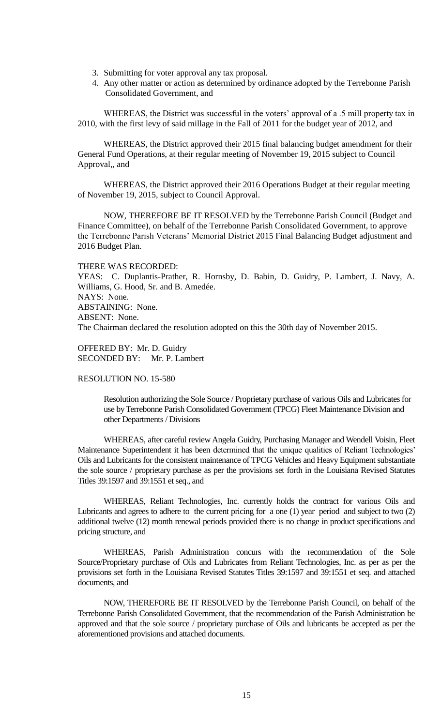- 3. Submitting for voter approval any tax proposal.
- 4. Any other matter or action as determined by ordinance adopted by the Terrebonne Parish Consolidated Government, and

WHEREAS, the District was successful in the voters' approval of a .5 mill property tax in 2010, with the first levy of said millage in the Fall of 2011 for the budget year of 2012, and

WHEREAS, the District approved their 2015 final balancing budget amendment for their General Fund Operations, at their regular meeting of November 19, 2015 subject to Council Approval,, and

WHEREAS, the District approved their 2016 Operations Budget at their regular meeting of November 19, 2015, subject to Council Approval.

NOW, THEREFORE BE IT RESOLVED by the Terrebonne Parish Council (Budget and Finance Committee), on behalf of the Terrebonne Parish Consolidated Government, to approve the Terrebonne Parish Veterans' Memorial District 2015 Final Balancing Budget adjustment and 2016 Budget Plan.

### THERE WAS RECORDED:

YEAS: C. Duplantis-Prather, R. Hornsby, D. Babin, D. Guidry, P. Lambert, J. Navy, A. Williams, G. Hood, Sr. and B. Amedée. NAYS: None. ABSTAINING: None. ABSENT: None. The Chairman declared the resolution adopted on this the 30th day of November 2015.

OFFERED BY: Mr. D. Guidry SECONDED BY: Mr. P. Lambert

## RESOLUTION NO. 15-580

Resolution authorizing the Sole Source / Proprietary purchase of various Oils and Lubricates for use by Terrebonne Parish Consolidated Government (TPCG) Fleet Maintenance Division and other Departments / Divisions

WHEREAS, after careful review Angela Guidry, Purchasing Manager and Wendell Voisin, Fleet Maintenance Superintendent it has been determined that the unique qualities of Reliant Technologies' Oils and Lubricants for the consistent maintenance of TPCG Vehicles and Heavy Equipment substantiate the sole source / proprietary purchase as per the provisions set forth in the Louisiana Revised Statutes Titles 39:1597 and 39:1551 et seq., and

WHEREAS, Reliant Technologies, Inc. currently holds the contract for various Oils and Lubricants and agrees to adhere to the current pricing for a one (1) year period and subject to two (2) additional twelve (12) month renewal periods provided there is no change in product specifications and pricing structure, and

WHEREAS, Parish Administration concurs with the recommendation of the Sole Source/Proprietary purchase of Oils and Lubricates from Reliant Technologies, Inc. as per as per the provisions set forth in the Louisiana Revised Statutes Titles 39:1597 and 39:1551 et seq. and attached documents, and

NOW, THEREFORE BE IT RESOLVED by the Terrebonne Parish Council, on behalf of the Terrebonne Parish Consolidated Government, that the recommendation of the Parish Administration be approved and that the sole source / proprietary purchase of Oils and lubricants be accepted as per the aforementioned provisions and attached documents.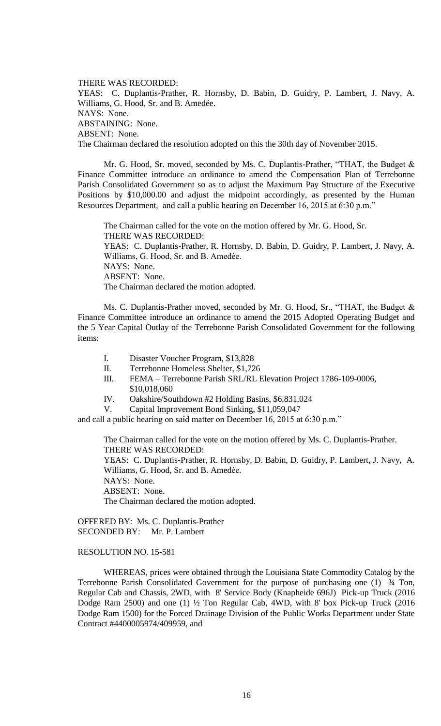THERE WAS RECORDED: YEAS: C. Duplantis-Prather, R. Hornsby, D. Babin, D. Guidry, P. Lambert, J. Navy, A. Williams, G. Hood, Sr. and B. Amedée. NAYS: None. ABSTAINING: None. ABSENT: None. The Chairman declared the resolution adopted on this the 30th day of November 2015.

Mr. G. Hood, Sr. moved, seconded by Ms. C. Duplantis-Prather, "THAT, the Budget & Finance Committee introduce an ordinance to amend the Compensation Plan of Terrebonne Parish Consolidated Government so as to adjust the Maximum Pay Structure of the Executive Positions by \$10,000.00 and adjust the midpoint accordingly, as presented by the Human Resources Department, and call a public hearing on December 16, 2015 at 6:30 p.m."

The Chairman called for the vote on the motion offered by Mr. G. Hood, Sr. THERE WAS RECORDED: YEAS: C. Duplantis-Prather, R. Hornsby, D. Babin, D. Guidry, P. Lambert, J. Navy, A. Williams, G. Hood, Sr. and B. Amedèe. NAYS: None. ABSENT: None. The Chairman declared the motion adopted.

Ms. C. Duplantis-Prather moved, seconded by Mr. G. Hood, Sr., "THAT, the Budget & Finance Committee introduce an ordinance to amend the 2015 Adopted Operating Budget and the 5 Year Capital Outlay of the Terrebonne Parish Consolidated Government for the following items:

- I. Disaster Voucher Program, \$13,828
- II. Terrebonne Homeless Shelter, \$1,726
- III. FEMA Terrebonne Parish SRL/RL Elevation Project 1786-109-0006, \$10,018,060
- IV. Oakshire/Southdown #2 Holding Basins, \$6,831,024
- V. Capital Improvement Bond Sinking, \$11,059,047

and call a public hearing on said matter on December 16, 2015 at 6:30 p.m."

The Chairman called for the vote on the motion offered by Ms. C. Duplantis-Prather. THERE WAS RECORDED: YEAS: C. Duplantis-Prather, R. Hornsby, D. Babin, D. Guidry, P. Lambert, J. Navy, A. Williams, G. Hood, Sr. and B. Amedèe. NAYS: None. ABSENT: None. The Chairman declared the motion adopted.

OFFERED BY: Ms. C. Duplantis-Prather SECONDED BY: Mr. P. Lambert

## RESOLUTION NO. 15-581

WHEREAS, prices were obtained through the Louisiana State Commodity Catalog by the Terrebonne Parish Consolidated Government for the purpose of purchasing one (1) ¾ Ton, Regular Cab and Chassis, 2WD, with 8' Service Body (Knapheide 696J) Pick-up Truck (2016 Dodge Ram 2500) and one (1) ½ Ton Regular Cab, 4WD, with 8' box Pick-up Truck (2016 Dodge Ram 1500) for the Forced Drainage Division of the Public Works Department under State Contract #4400005974/409959, and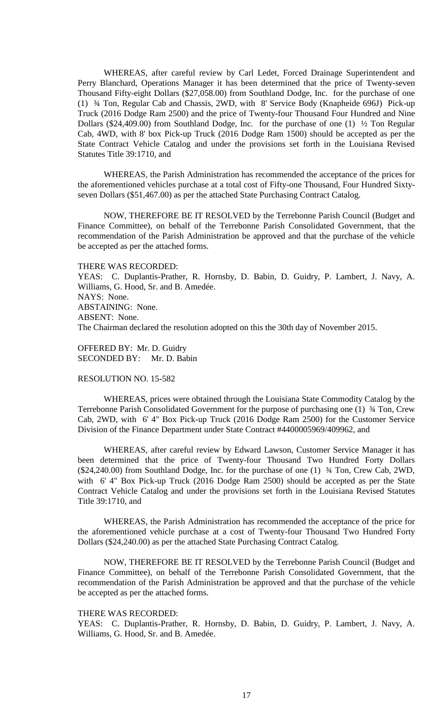WHEREAS, after careful review by Carl Ledet, Forced Drainage Superintendent and Perry Blanchard, Operations Manager it has been determined that the price of Twenty-seven Thousand Fifty-eight Dollars (\$27,058.00) from Southland Dodge, Inc. for the purchase of one (1) ¾ Ton, Regular Cab and Chassis, 2WD, with 8' Service Body (Knapheide 696J) Pick-up Truck (2016 Dodge Ram 2500) and the price of Twenty-four Thousand Four Hundred and Nine Dollars (\$24,409.00) from Southland Dodge, Inc. for the purchase of one (1) ½ Ton Regular Cab, 4WD, with 8' box Pick-up Truck (2016 Dodge Ram 1500) should be accepted as per the State Contract Vehicle Catalog and under the provisions set forth in the Louisiana Revised Statutes Title 39:1710, and

WHEREAS, the Parish Administration has recommended the acceptance of the prices for the aforementioned vehicles purchase at a total cost of Fifty-one Thousand, Four Hundred Sixtyseven Dollars (\$51,467.00) as per the attached State Purchasing Contract Catalog.

NOW, THEREFORE BE IT RESOLVED by the Terrebonne Parish Council (Budget and Finance Committee), on behalf of the Terrebonne Parish Consolidated Government, that the recommendation of the Parish Administration be approved and that the purchase of the vehicle be accepted as per the attached forms.

#### THERE WAS RECORDED:

YEAS: C. Duplantis-Prather, R. Hornsby, D. Babin, D. Guidry, P. Lambert, J. Navy, A. Williams, G. Hood, Sr. and B. Amedée. NAYS: None. ABSTAINING: None. ABSENT: None. The Chairman declared the resolution adopted on this the 30th day of November 2015.

OFFERED BY: Mr. D. Guidry SECONDED BY: Mr. D. Babin

# RESOLUTION NO. 15-582

WHEREAS, prices were obtained through the Louisiana State Commodity Catalog by the Terrebonne Parish Consolidated Government for the purpose of purchasing one (1) ¾ Ton, Crew Cab, 2WD, with 6' 4" Box Pick-up Truck (2016 Dodge Ram 2500) for the Customer Service Division of the Finance Department under State Contract #4400005969/409962, and

WHEREAS, after careful review by Edward Lawson, Customer Service Manager it has been determined that the price of Twenty-four Thousand Two Hundred Forty Dollars (\$24,240.00) from Southland Dodge, Inc. for the purchase of one (1) ¾ Ton, Crew Cab, 2WD, with 6' 4" Box Pick-up Truck (2016 Dodge Ram 2500) should be accepted as per the State Contract Vehicle Catalog and under the provisions set forth in the Louisiana Revised Statutes Title 39:1710, and

WHEREAS, the Parish Administration has recommended the acceptance of the price for the aforementioned vehicle purchase at a cost of Twenty-four Thousand Two Hundred Forty Dollars (\$24,240.00) as per the attached State Purchasing Contract Catalog.

NOW, THEREFORE BE IT RESOLVED by the Terrebonne Parish Council (Budget and Finance Committee), on behalf of the Terrebonne Parish Consolidated Government, that the recommendation of the Parish Administration be approved and that the purchase of the vehicle be accepted as per the attached forms.

#### THERE WAS RECORDED:

YEAS: C. Duplantis-Prather, R. Hornsby, D. Babin, D. Guidry, P. Lambert, J. Navy, A. Williams, G. Hood, Sr. and B. Amedée.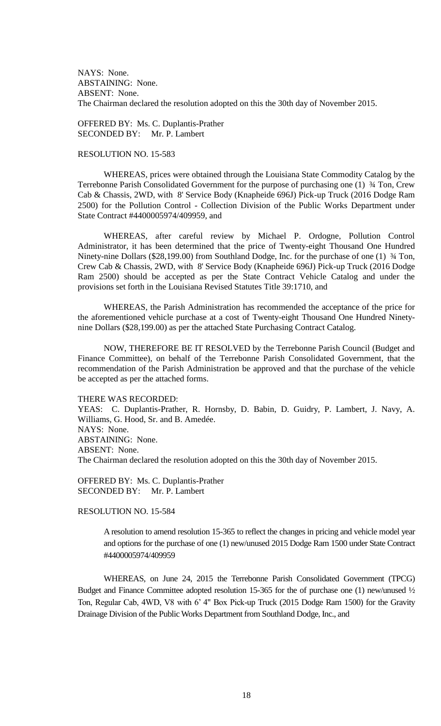NAYS: None. ABSTAINING: None. ABSENT: None. The Chairman declared the resolution adopted on this the 30th day of November 2015.

OFFERED BY: Ms. C. Duplantis-Prather SECONDED BY: Mr. P. Lambert

## RESOLUTION NO. 15-583

WHEREAS, prices were obtained through the Louisiana State Commodity Catalog by the Terrebonne Parish Consolidated Government for the purpose of purchasing one (1) ¾ Ton, Crew Cab & Chassis, 2WD, with 8' Service Body (Knapheide 696J) Pick-up Truck (2016 Dodge Ram 2500) for the Pollution Control - Collection Division of the Public Works Department under State Contract #4400005974/409959, and

WHEREAS, after careful review by Michael P. Ordogne, Pollution Control Administrator, it has been determined that the price of Twenty-eight Thousand One Hundred Ninety-nine Dollars (\$28,199.00) from Southland Dodge, Inc. for the purchase of one (1)  $\frac{3}{4}$  Ton, Crew Cab & Chassis, 2WD, with 8' Service Body (Knapheide 696J) Pick-up Truck (2016 Dodge Ram 2500) should be accepted as per the State Contract Vehicle Catalog and under the provisions set forth in the Louisiana Revised Statutes Title 39:1710, and

WHEREAS, the Parish Administration has recommended the acceptance of the price for the aforementioned vehicle purchase at a cost of Twenty-eight Thousand One Hundred Ninetynine Dollars (\$28,199.00) as per the attached State Purchasing Contract Catalog.

NOW, THEREFORE BE IT RESOLVED by the Terrebonne Parish Council (Budget and Finance Committee), on behalf of the Terrebonne Parish Consolidated Government, that the recommendation of the Parish Administration be approved and that the purchase of the vehicle be accepted as per the attached forms.

THERE WAS RECORDED:

YEAS: C. Duplantis-Prather, R. Hornsby, D. Babin, D. Guidry, P. Lambert, J. Navy, A. Williams, G. Hood, Sr. and B. Amedée. NAYS: None. ABSTAINING: None. ABSENT: None. The Chairman declared the resolution adopted on this the 30th day of November 2015.

OFFERED BY: Ms. C. Duplantis-Prather SECONDED BY: Mr. P. Lambert

RESOLUTION NO. 15-584

A resolution to amend resolution 15-365 to reflect the changes in pricing and vehicle model year and options for the purchase of one (1) new/unused 2015 Dodge Ram 1500 under State Contract #4400005974/409959

WHEREAS, on June 24, 2015 the Terrebonne Parish Consolidated Government (TPCG) Budget and Finance Committee adopted resolution 15-365 for the of purchase one (1) new/unused  $\frac{1}{2}$ Ton, Regular Cab, 4WD, V8 with 6' 4" Box Pick-up Truck (2015 Dodge Ram 1500) for the Gravity Drainage Division of the Public Works Department from Southland Dodge, Inc., and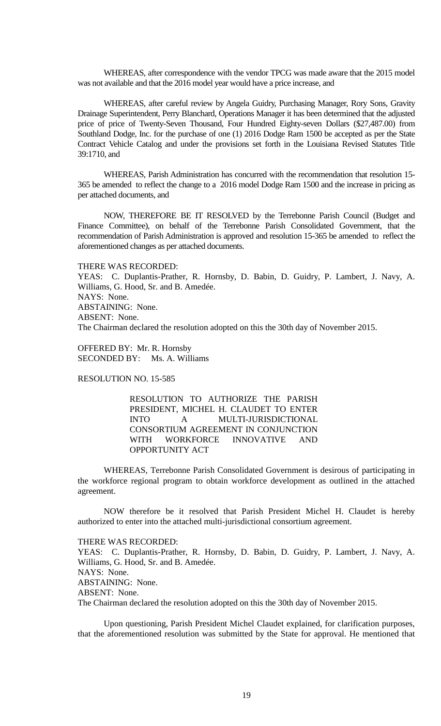WHEREAS, after correspondence with the vendor TPCG was made aware that the 2015 model was not available and that the 2016 model year would have a price increase, and

WHEREAS, after careful review by Angela Guidry, Purchasing Manager, Rory Sons, Gravity Drainage Superintendent, Perry Blanchard, Operations Manager it has been determined that the adjusted price of price of Twenty-Seven Thousand, Four Hundred Eighty-seven Dollars (\$27,487.00) from Southland Dodge, Inc. for the purchase of one (1) 2016 Dodge Ram 1500 be accepted as per the State Contract Vehicle Catalog and under the provisions set forth in the Louisiana Revised Statutes Title 39:1710, and

WHEREAS, Parish Administration has concurred with the recommendation that resolution 15- 365 be amended to reflect the change to a 2016 model Dodge Ram 1500 and the increase in pricing as per attached documents, and

NOW, THEREFORE BE IT RESOLVED by the Terrebonne Parish Council (Budget and Finance Committee), on behalf of the Terrebonne Parish Consolidated Government, that the recommendation of Parish Administration is approved and resolution 15-365 be amended to reflect the aforementioned changes as per attached documents.

#### THERE WAS RECORDED:

YEAS: C. Duplantis-Prather, R. Hornsby, D. Babin, D. Guidry, P. Lambert, J. Navy, A. Williams, G. Hood, Sr. and B. Amedée. NAYS: None. ABSTAINING: None. ABSENT: None. The Chairman declared the resolution adopted on this the 30th day of November 2015.

OFFERED BY: Mr. R. Hornsby SECONDED BY: Ms. A. Williams

RESOLUTION NO. 15-585

RESOLUTION TO AUTHORIZE THE PARISH PRESIDENT, MICHEL H. CLAUDET TO ENTER INTO A MULTI-JURISDICTIONAL CONSORTIUM AGREEMENT IN CONJUNCTION WITH WORKFORCE INNOVATIVE AND OPPORTUNITY ACT

WHEREAS, Terrebonne Parish Consolidated Government is desirous of participating in the workforce regional program to obtain workforce development as outlined in the attached agreement.

NOW therefore be it resolved that Parish President Michel H. Claudet is hereby authorized to enter into the attached multi-jurisdictional consortium agreement.

# THERE WAS RECORDED:

YEAS: C. Duplantis-Prather, R. Hornsby, D. Babin, D. Guidry, P. Lambert, J. Navy, A. Williams, G. Hood, Sr. and B. Amedée. NAYS: None. ABSTAINING: None. ABSENT: None. The Chairman declared the resolution adopted on this the 30th day of November 2015.

Upon questioning, Parish President Michel Claudet explained, for clarification purposes, that the aforementioned resolution was submitted by the State for approval. He mentioned that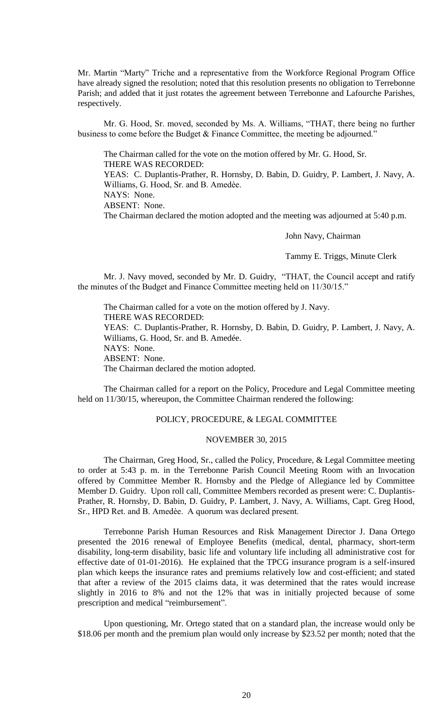Mr. Martin "Marty" Triche and a representative from the Workforce Regional Program Office have already signed the resolution; noted that this resolution presents no obligation to Terrebonne Parish; and added that it just rotates the agreement between Terrebonne and Lafourche Parishes, respectively.

Mr. G. Hood, Sr. moved, seconded by Ms. A. Williams, "THAT, there being no further business to come before the Budget & Finance Committee, the meeting be adjourned."

The Chairman called for the vote on the motion offered by Mr. G. Hood, Sr. THERE WAS RECORDED: YEAS: C. Duplantis-Prather, R. Hornsby, D. Babin, D. Guidry, P. Lambert, J. Navy, A. Williams, G. Hood, Sr. and B. Amedèe.

NAYS: None.

ABSENT: None.

The Chairman declared the motion adopted and the meeting was adjourned at 5:40 p.m.

John Navy, Chairman

Tammy E. Triggs, Minute Clerk

Mr. J. Navy moved, seconded by Mr. D. Guidry, "THAT, the Council accept and ratify the minutes of the Budget and Finance Committee meeting held on 11/30/15."

The Chairman called for a vote on the motion offered by J. Navy. THERE WAS RECORDED: YEAS: C. Duplantis-Prather, R. Hornsby, D. Babin, D. Guidry, P. Lambert, J. Navy, A. Williams, G. Hood, Sr. and B. Amedée. NAYS: None. ABSENT: None. The Chairman declared the motion adopted.

The Chairman called for a report on the Policy, Procedure and Legal Committee meeting held on 11/30/15, whereupon, the Committee Chairman rendered the following:

## POLICY, PROCEDURE, & LEGAL COMMITTEE

## NOVEMBER 30, 2015

The Chairman, Greg Hood, Sr., called the Policy, Procedure, & Legal Committee meeting to order at 5:43 p. m. in the Terrebonne Parish Council Meeting Room with an Invocation offered by Committee Member R. Hornsby and the Pledge of Allegiance led by Committee Member D. Guidry. Upon roll call, Committee Members recorded as present were: C. Duplantis-Prather, R. Hornsby, D. Babin, D. Guidry, P. Lambert, J. Navy, A. Williams, Capt. Greg Hood, Sr., HPD Ret. and B. Amedèe. A quorum was declared present.

Terrebonne Parish Human Resources and Risk Management Director J. Dana Ortego presented the 2016 renewal of Employee Benefits (medical, dental, pharmacy, short-term disability, long-term disability, basic life and voluntary life including all administrative cost for effective date of 01-01-2016). He explained that the TPCG insurance program is a self-insured plan which keeps the insurance rates and premiums relatively low and cost-efficient; and stated that after a review of the 2015 claims data, it was determined that the rates would increase slightly in 2016 to 8% and not the 12% that was in initially projected because of some prescription and medical "reimbursement".

Upon questioning, Mr. Ortego stated that on a standard plan, the increase would only be \$18.06 per month and the premium plan would only increase by \$23.52 per month; noted that the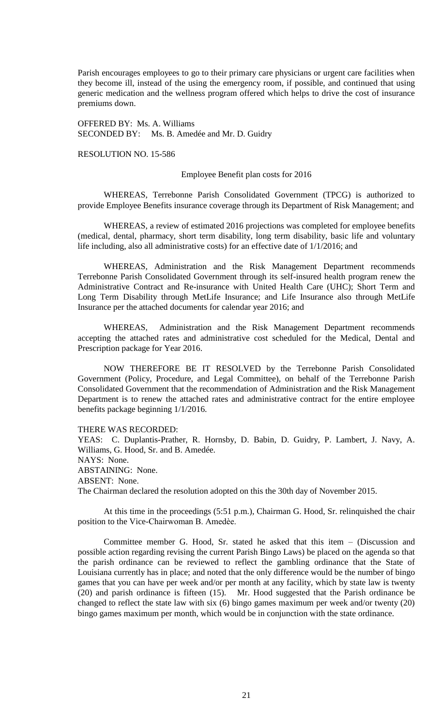Parish encourages employees to go to their primary care physicians or urgent care facilities when they become ill, instead of the using the emergency room, if possible, and continued that using generic medication and the wellness program offered which helps to drive the cost of insurance premiums down.

OFFERED BY: Ms. A. Williams SECONDED BY: Ms. B. Amedée and Mr. D. Guidry

RESOLUTION NO. 15-586

### Employee Benefit plan costs for 2016

WHEREAS, Terrebonne Parish Consolidated Government (TPCG) is authorized to provide Employee Benefits insurance coverage through its Department of Risk Management; and

WHEREAS, a review of estimated 2016 projections was completed for employee benefits (medical, dental, pharmacy, short term disability, long term disability, basic life and voluntary life including, also all administrative costs) for an effective date of 1/1/2016; and

WHEREAS, Administration and the Risk Management Department recommends Terrebonne Parish Consolidated Government through its self-insured health program renew the Administrative Contract and Re-insurance with United Health Care (UHC); Short Term and Long Term Disability through MetLife Insurance; and Life Insurance also through MetLife Insurance per the attached documents for calendar year 2016; and

WHEREAS, Administration and the Risk Management Department recommends accepting the attached rates and administrative cost scheduled for the Medical, Dental and Prescription package for Year 2016.

NOW THEREFORE BE IT RESOLVED by the Terrebonne Parish Consolidated Government (Policy, Procedure, and Legal Committee), on behalf of the Terrebonne Parish Consolidated Government that the recommendation of Administration and the Risk Management Department is to renew the attached rates and administrative contract for the entire employee benefits package beginning 1/1/2016.

#### THERE WAS RECORDED:

YEAS: C. Duplantis-Prather, R. Hornsby, D. Babin, D. Guidry, P. Lambert, J. Navy, A. Williams, G. Hood, Sr. and B. Amedée. NAYS: None. ABSTAINING: None. ABSENT: None. The Chairman declared the resolution adopted on this the 30th day of November 2015.

At this time in the proceedings (5:51 p.m.), Chairman G. Hood, Sr. relinquished the chair position to the Vice-Chairwoman B. Amedèe.

Committee member G. Hood, Sr. stated he asked that this item – (Discussion and possible action regarding revising the current Parish Bingo Laws) be placed on the agenda so that the parish ordinance can be reviewed to reflect the gambling ordinance that the State of Louisiana currently has in place; and noted that the only difference would be the number of bingo games that you can have per week and/or per month at any facility, which by state law is twenty (20) and parish ordinance is fifteen (15). Mr. Hood suggested that the Parish ordinance be changed to reflect the state law with six (6) bingo games maximum per week and/or twenty (20) bingo games maximum per month, which would be in conjunction with the state ordinance.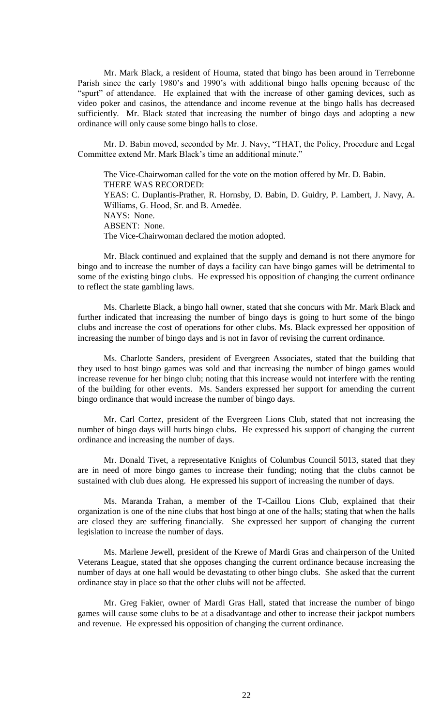Mr. Mark Black, a resident of Houma, stated that bingo has been around in Terrebonne Parish since the early 1980's and 1990's with additional bingo halls opening because of the "spurt" of attendance. He explained that with the increase of other gaming devices, such as video poker and casinos, the attendance and income revenue at the bingo halls has decreased sufficiently. Mr. Black stated that increasing the number of bingo days and adopting a new ordinance will only cause some bingo halls to close.

Mr. D. Babin moved, seconded by Mr. J. Navy, "THAT, the Policy, Procedure and Legal Committee extend Mr. Mark Black's time an additional minute."

The Vice-Chairwoman called for the vote on the motion offered by Mr. D. Babin. THERE WAS RECORDED: YEAS: C. Duplantis-Prather, R. Hornsby, D. Babin, D. Guidry, P. Lambert, J. Navy, A. Williams, G. Hood, Sr. and B. Amedèe. NAYS: None. ABSENT: None. The Vice-Chairwoman declared the motion adopted.

Mr. Black continued and explained that the supply and demand is not there anymore for bingo and to increase the number of days a facility can have bingo games will be detrimental to some of the existing bingo clubs. He expressed his opposition of changing the current ordinance to reflect the state gambling laws.

Ms. Charlette Black, a bingo hall owner, stated that she concurs with Mr. Mark Black and further indicated that increasing the number of bingo days is going to hurt some of the bingo clubs and increase the cost of operations for other clubs. Ms. Black expressed her opposition of increasing the number of bingo days and is not in favor of revising the current ordinance.

Ms. Charlotte Sanders, president of Evergreen Associates, stated that the building that they used to host bingo games was sold and that increasing the number of bingo games would increase revenue for her bingo club; noting that this increase would not interfere with the renting of the building for other events. Ms. Sanders expressed her support for amending the current bingo ordinance that would increase the number of bingo days.

Mr. Carl Cortez, president of the Evergreen Lions Club, stated that not increasing the number of bingo days will hurts bingo clubs. He expressed his support of changing the current ordinance and increasing the number of days.

Mr. Donald Tivet, a representative Knights of Columbus Council 5013, stated that they are in need of more bingo games to increase their funding; noting that the clubs cannot be sustained with club dues along. He expressed his support of increasing the number of days.

Ms. Maranda Trahan, a member of the T-Caillou Lions Club, explained that their organization is one of the nine clubs that host bingo at one of the halls; stating that when the halls are closed they are suffering financially. She expressed her support of changing the current legislation to increase the number of days.

Ms. Marlene Jewell, president of the Krewe of Mardi Gras and chairperson of the United Veterans League, stated that she opposes changing the current ordinance because increasing the number of days at one hall would be devastating to other bingo clubs. She asked that the current ordinance stay in place so that the other clubs will not be affected.

Mr. Greg Fakier, owner of Mardi Gras Hall, stated that increase the number of bingo games will cause some clubs to be at a disadvantage and other to increase their jackpot numbers and revenue. He expressed his opposition of changing the current ordinance.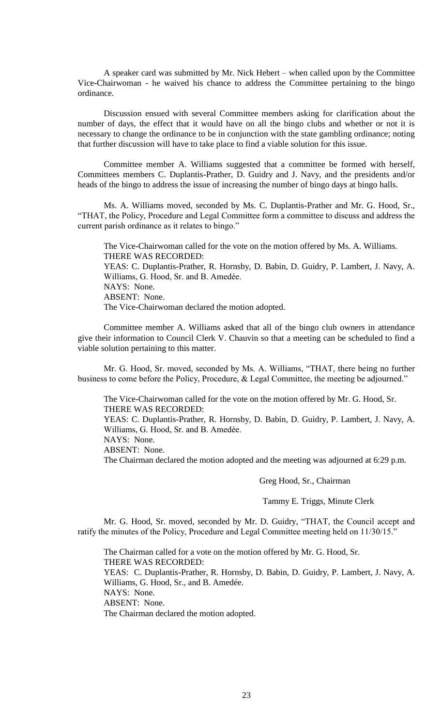A speaker card was submitted by Mr. Nick Hebert – when called upon by the Committee Vice-Chairwoman - he waived his chance to address the Committee pertaining to the bingo ordinance.

Discussion ensued with several Committee members asking for clarification about the number of days, the effect that it would have on all the bingo clubs and whether or not it is necessary to change the ordinance to be in conjunction with the state gambling ordinance; noting that further discussion will have to take place to find a viable solution for this issue.

Committee member A. Williams suggested that a committee be formed with herself, Committees members C. Duplantis-Prather, D. Guidry and J. Navy, and the presidents and/or heads of the bingo to address the issue of increasing the number of bingo days at bingo halls.

Ms. A. Williams moved, seconded by Ms. C. Duplantis-Prather and Mr. G. Hood, Sr., "THAT, the Policy, Procedure and Legal Committee form a committee to discuss and address the current parish ordinance as it relates to bingo."

The Vice-Chairwoman called for the vote on the motion offered by Ms. A. Williams. THERE WAS RECORDED: YEAS: C. Duplantis-Prather, R. Hornsby, D. Babin, D. Guidry, P. Lambert, J. Navy, A. Williams, G. Hood, Sr. and B. Amedèe. NAYS: None. ABSENT: None. The Vice-Chairwoman declared the motion adopted.

Committee member A. Williams asked that all of the bingo club owners in attendance give their information to Council Clerk V. Chauvin so that a meeting can be scheduled to find a viable solution pertaining to this matter.

Mr. G. Hood, Sr. moved, seconded by Ms. A. Williams, "THAT, there being no further business to come before the Policy, Procedure, & Legal Committee, the meeting be adjourned."

The Vice-Chairwoman called for the vote on the motion offered by Mr. G. Hood, Sr. THERE WAS RECORDED:

YEAS: C. Duplantis-Prather, R. Hornsby, D. Babin, D. Guidry, P. Lambert, J. Navy, A. Williams, G. Hood, Sr. and B. Amedèe.

NAYS: None.

ABSENT: None.

The Chairman declared the motion adopted and the meeting was adjourned at 6:29 p.m.

Greg Hood, Sr., Chairman

Tammy E. Triggs, Minute Clerk

Mr. G. Hood, Sr. moved, seconded by Mr. D. Guidry, "THAT, the Council accept and ratify the minutes of the Policy, Procedure and Legal Committee meeting held on 11/30/15."

The Chairman called for a vote on the motion offered by Mr. G. Hood, Sr. THERE WAS RECORDED: YEAS: C. Duplantis-Prather, R. Hornsby, D. Babin, D. Guidry, P. Lambert, J. Navy, A. Williams, G. Hood, Sr., and B. Amedée. NAYS: None. ABSENT: None. The Chairman declared the motion adopted.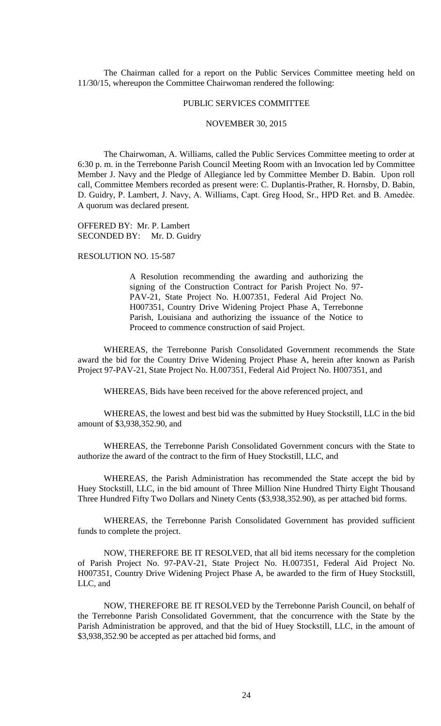The Chairman called for a report on the Public Services Committee meeting held on 11/30/15, whereupon the Committee Chairwoman rendered the following:

### PUBLIC SERVICES COMMITTEE

### NOVEMBER 30, 2015

The Chairwoman, A. Williams, called the Public Services Committee meeting to order at 6:30 p. m. in the Terrebonne Parish Council Meeting Room with an Invocation led by Committee Member J. Navy and the Pledge of Allegiance led by Committee Member D. Babin. Upon roll call, Committee Members recorded as present were: C. Duplantis-Prather, R. Hornsby, D. Babin, D. Guidry, P. Lambert, J. Navy, A. Williams, Capt. Greg Hood, Sr., HPD Ret. and B. Amedèe. A quorum was declared present.

OFFERED BY: Mr. P. Lambert SECONDED BY: Mr. D. Guidry

#### RESOLUTION NO. 15-587

A Resolution recommending the awarding and authorizing the signing of the Construction Contract for Parish Project No. 97- PAV-21, State Project No. H.007351, Federal Aid Project No. H007351, Country Drive Widening Project Phase A, Terrebonne Parish, Louisiana and authorizing the issuance of the Notice to Proceed to commence construction of said Project.

WHEREAS, the Terrebonne Parish Consolidated Government recommends the State award the bid for the Country Drive Widening Project Phase A, herein after known as Parish Project 97-PAV-21, State Project No. H.007351, Federal Aid Project No. H007351, and

WHEREAS, Bids have been received for the above referenced project, and

WHEREAS, the lowest and best bid was the submitted by Huey Stockstill, LLC in the bid amount of \$3,938,352.90, and

WHEREAS, the Terrebonne Parish Consolidated Government concurs with the State to authorize the award of the contract to the firm of Huey Stockstill, LLC, and

WHEREAS, the Parish Administration has recommended the State accept the bid by Huey Stockstill, LLC, in the bid amount of Three Million Nine Hundred Thirty Eight Thousand Three Hundred Fifty Two Dollars and Ninety Cents (\$3,938,352.90), as per attached bid forms.

WHEREAS, the Terrebonne Parish Consolidated Government has provided sufficient funds to complete the project.

NOW, THEREFORE BE IT RESOLVED, that all bid items necessary for the completion of Parish Project No. 97-PAV-21, State Project No. H.007351, Federal Aid Project No. H007351, Country Drive Widening Project Phase A, be awarded to the firm of Huey Stockstill, LLC, and

NOW, THEREFORE BE IT RESOLVED by the Terrebonne Parish Council, on behalf of the Terrebonne Parish Consolidated Government, that the concurrence with the State by the Parish Administration be approved, and that the bid of Huey Stockstill, LLC, in the amount of \$3,938,352.90 be accepted as per attached bid forms, and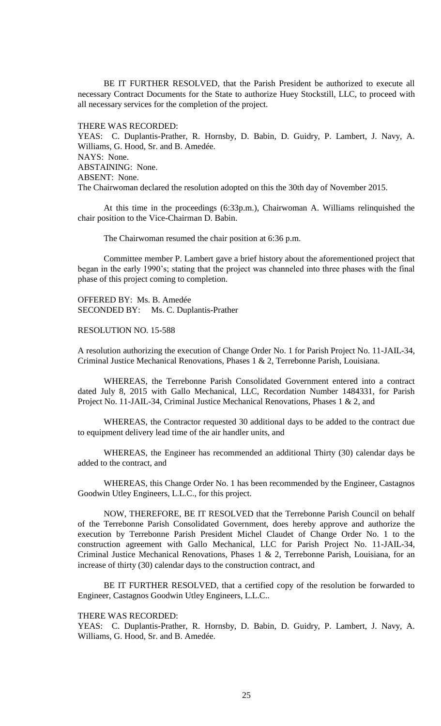BE IT FURTHER RESOLVED, that the Parish President be authorized to execute all necessary Contract Documents for the State to authorize Huey Stockstill, LLC, to proceed with all necessary services for the completion of the project.

### THERE WAS RECORDED:

YEAS: C. Duplantis-Prather, R. Hornsby, D. Babin, D. Guidry, P. Lambert, J. Navy, A. Williams, G. Hood, Sr. and B. Amedée. NAYS: None. ABSTAINING: None. ABSENT: None. The Chairwoman declared the resolution adopted on this the 30th day of November 2015.

At this time in the proceedings (6:33p.m.), Chairwoman A. Williams relinquished the chair position to the Vice-Chairman D. Babin.

The Chairwoman resumed the chair position at 6:36 p.m.

Committee member P. Lambert gave a brief history about the aforementioned project that began in the early 1990's; stating that the project was channeled into three phases with the final phase of this project coming to completion.

OFFERED BY: Ms. B. Amedée SECONDED BY: Ms. C. Duplantis-Prather

RESOLUTION NO. 15-588

A resolution authorizing the execution of Change Order No. 1 for Parish Project No. 11-JAIL-34, Criminal Justice Mechanical Renovations, Phases 1 & 2, Terrebonne Parish, Louisiana.

WHEREAS, the Terrebonne Parish Consolidated Government entered into a contract dated July 8, 2015 with Gallo Mechanical, LLC, Recordation Number 1484331, for Parish Project No. 11-JAIL-34, Criminal Justice Mechanical Renovations, Phases 1 & 2, and

WHEREAS, the Contractor requested 30 additional days to be added to the contract due to equipment delivery lead time of the air handler units, and

WHEREAS, the Engineer has recommended an additional Thirty (30) calendar days be added to the contract, and

WHEREAS, this Change Order No. 1 has been recommended by the Engineer, Castagnos Goodwin Utley Engineers, L.L.C., for this project.

NOW, THEREFORE, BE IT RESOLVED that the Terrebonne Parish Council on behalf of the Terrebonne Parish Consolidated Government, does hereby approve and authorize the execution by Terrebonne Parish President Michel Claudet of Change Order No. 1 to the construction agreement with Gallo Mechanical, LLC for Parish Project No. 11-JAIL-34, Criminal Justice Mechanical Renovations, Phases 1 & 2, Terrebonne Parish, Louisiana, for an increase of thirty (30) calendar days to the construction contract, and

BE IT FURTHER RESOLVED, that a certified copy of the resolution be forwarded to Engineer, Castagnos Goodwin Utley Engineers, L.L.C..

#### THERE WAS RECORDED:

YEAS: C. Duplantis-Prather, R. Hornsby, D. Babin, D. Guidry, P. Lambert, J. Navy, A. Williams, G. Hood, Sr. and B. Amedée.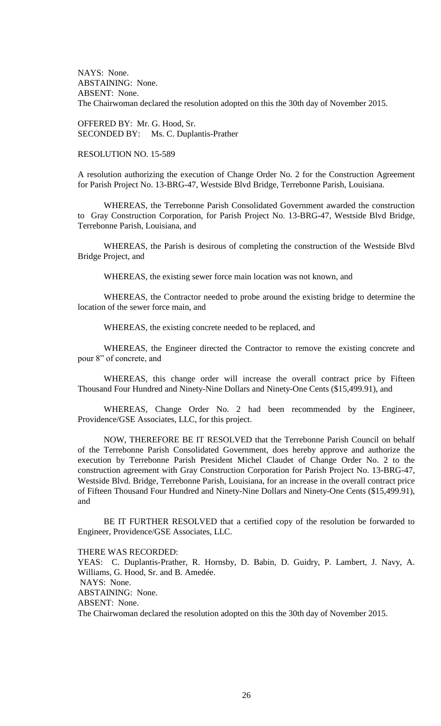NAYS: None. ABSTAINING: None. ABSENT: None. The Chairwoman declared the resolution adopted on this the 30th day of November 2015.

OFFERED BY: Mr. G. Hood, Sr. SECONDED BY: Ms. C. Duplantis-Prather

## RESOLUTION NO. 15-589

A resolution authorizing the execution of Change Order No. 2 for the Construction Agreement for Parish Project No. 13-BRG-47, Westside Blvd Bridge, Terrebonne Parish, Louisiana.

WHEREAS, the Terrebonne Parish Consolidated Government awarded the construction to Gray Construction Corporation, for Parish Project No. 13-BRG-47, Westside Blvd Bridge, Terrebonne Parish, Louisiana, and

WHEREAS, the Parish is desirous of completing the construction of the Westside Blvd Bridge Project, and

WHEREAS, the existing sewer force main location was not known, and

WHEREAS, the Contractor needed to probe around the existing bridge to determine the location of the sewer force main, and

WHEREAS, the existing concrete needed to be replaced, and

WHEREAS, the Engineer directed the Contractor to remove the existing concrete and pour 8" of concrete, and

WHEREAS, this change order will increase the overall contract price by Fifteen Thousand Four Hundred and Ninety-Nine Dollars and Ninety-One Cents (\$15,499.91), and

WHEREAS, Change Order No. 2 had been recommended by the Engineer, Providence/GSE Associates, LLC, for this project.

NOW, THEREFORE BE IT RESOLVED that the Terrebonne Parish Council on behalf of the Terrebonne Parish Consolidated Government, does hereby approve and authorize the execution by Terrebonne Parish President Michel Claudet of Change Order No. 2 to the construction agreement with Gray Construction Corporation for Parish Project No. 13-BRG-47, Westside Blvd. Bridge, Terrebonne Parish, Louisiana, for an increase in the overall contract price of Fifteen Thousand Four Hundred and Ninety-Nine Dollars and Ninety-One Cents (\$15,499.91), and

BE IT FURTHER RESOLVED that a certified copy of the resolution be forwarded to Engineer, Providence/GSE Associates, LLC.

THERE WAS RECORDED:

YEAS: C. Duplantis-Prather, R. Hornsby, D. Babin, D. Guidry, P. Lambert, J. Navy, A. Williams, G. Hood, Sr. and B. Amedée.

ABSTAINING: None.

ABSENT: None.

The Chairwoman declared the resolution adopted on this the 30th day of November 2015.

NAYS: None.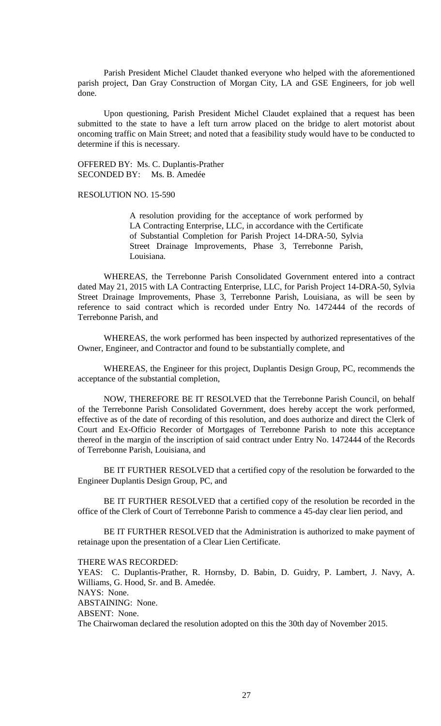Parish President Michel Claudet thanked everyone who helped with the aforementioned parish project, Dan Gray Construction of Morgan City, LA and GSE Engineers, for job well done.

Upon questioning, Parish President Michel Claudet explained that a request has been submitted to the state to have a left turn arrow placed on the bridge to alert motorist about oncoming traffic on Main Street; and noted that a feasibility study would have to be conducted to determine if this is necessary.

OFFERED BY: Ms. C. Duplantis-Prather SECONDED BY: Ms. B. Amedée

RESOLUTION NO. 15-590

A resolution providing for the acceptance of work performed by LA Contracting Enterprise, LLC, in accordance with the Certificate of Substantial Completion for Parish Project 14-DRA-50, Sylvia Street Drainage Improvements, Phase 3, Terrebonne Parish, Louisiana.

WHEREAS, the Terrebonne Parish Consolidated Government entered into a contract dated May 21, 2015 with LA Contracting Enterprise, LLC, for Parish Project 14-DRA-50, Sylvia Street Drainage Improvements, Phase 3, Terrebonne Parish, Louisiana, as will be seen by reference to said contract which is recorded under Entry No. 1472444 of the records of Terrebonne Parish, and

WHEREAS, the work performed has been inspected by authorized representatives of the Owner, Engineer, and Contractor and found to be substantially complete, and

WHEREAS, the Engineer for this project, Duplantis Design Group, PC, recommends the acceptance of the substantial completion,

NOW, THEREFORE BE IT RESOLVED that the Terrebonne Parish Council, on behalf of the Terrebonne Parish Consolidated Government, does hereby accept the work performed, effective as of the date of recording of this resolution, and does authorize and direct the Clerk of Court and Ex-Officio Recorder of Mortgages of Terrebonne Parish to note this acceptance thereof in the margin of the inscription of said contract under Entry No. 1472444 of the Records of Terrebonne Parish, Louisiana, and

BE IT FURTHER RESOLVED that a certified copy of the resolution be forwarded to the Engineer Duplantis Design Group, PC, and

BE IT FURTHER RESOLVED that a certified copy of the resolution be recorded in the office of the Clerk of Court of Terrebonne Parish to commence a 45-day clear lien period, and

BE IT FURTHER RESOLVED that the Administration is authorized to make payment of retainage upon the presentation of a Clear Lien Certificate.

THERE WAS RECORDED:

YEAS: C. Duplantis-Prather, R. Hornsby, D. Babin, D. Guidry, P. Lambert, J. Navy, A. Williams, G. Hood, Sr. and B. Amedée. NAYS: None. ABSTAINING: None. ABSENT: None. The Chairwoman declared the resolution adopted on this the 30th day of November 2015.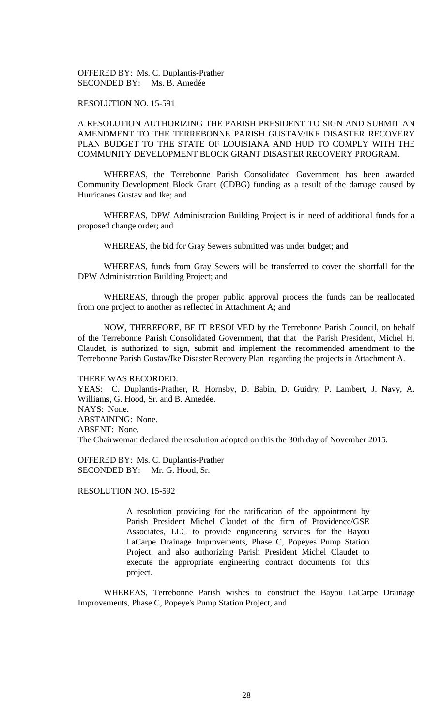OFFERED BY: Ms. C. Duplantis-Prather SECONDED BY: Ms. B. Amedée

## RESOLUTION NO. 15-591

# A RESOLUTION AUTHORIZING THE PARISH PRESIDENT TO SIGN AND SUBMIT AN AMENDMENT TO THE TERREBONNE PARISH GUSTAV/IKE DISASTER RECOVERY PLAN BUDGET TO THE STATE OF LOUISIANA AND HUD TO COMPLY WITH THE COMMUNITY DEVELOPMENT BLOCK GRANT DISASTER RECOVERY PROGRAM.

WHEREAS, the Terrebonne Parish Consolidated Government has been awarded Community Development Block Grant (CDBG) funding as a result of the damage caused by Hurricanes Gustav and Ike; and

WHEREAS, DPW Administration Building Project is in need of additional funds for a proposed change order; and

WHEREAS, the bid for Gray Sewers submitted was under budget; and

WHEREAS, funds from Gray Sewers will be transferred to cover the shortfall for the DPW Administration Building Project; and

WHEREAS, through the proper public approval process the funds can be reallocated from one project to another as reflected in Attachment A; and

NOW, THEREFORE, BE IT RESOLVED by the Terrebonne Parish Council, on behalf of the Terrebonne Parish Consolidated Government, that that the Parish President, Michel H. Claudet, is authorized to sign, submit and implement the recommended amendment to the Terrebonne Parish Gustav/Ike Disaster Recovery Plan regarding the projects in Attachment A.

#### THERE WAS RECORDED:

YEAS: C. Duplantis-Prather, R. Hornsby, D. Babin, D. Guidry, P. Lambert, J. Navy, A. Williams, G. Hood, Sr. and B. Amedée. NAYS: None. ABSTAINING: None. ABSENT: None. The Chairwoman declared the resolution adopted on this the 30th day of November 2015.

OFFERED BY: Ms. C. Duplantis-Prather SECONDED BY: Mr. G. Hood, Sr.

RESOLUTION NO. 15-592

A resolution providing for the ratification of the appointment by Parish President Michel Claudet of the firm of Providence/GSE Associates, LLC to provide engineering services for the Bayou LaCarpe Drainage Improvements, Phase C, Popeyes Pump Station Project, and also authorizing Parish President Michel Claudet to execute the appropriate engineering contract documents for this project.

WHEREAS, Terrebonne Parish wishes to construct the Bayou LaCarpe Drainage Improvements, Phase C, Popeye's Pump Station Project, and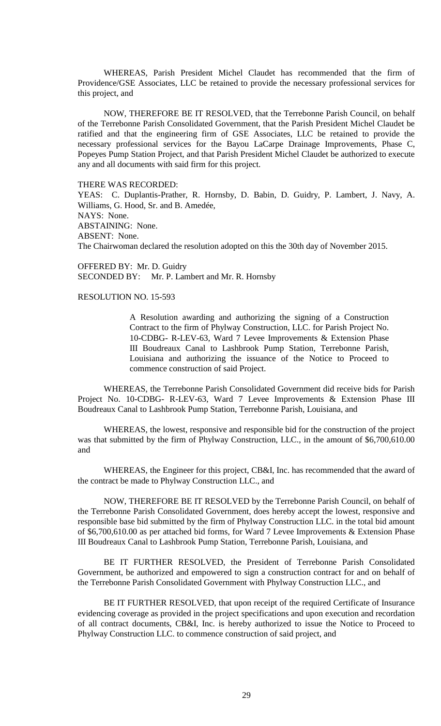WHEREAS, Parish President Michel Claudet has recommended that the firm of Providence/GSE Associates, LLC be retained to provide the necessary professional services for this project, and

NOW, THEREFORE BE IT RESOLVED, that the Terrebonne Parish Council, on behalf of the Terrebonne Parish Consolidated Government, that the Parish President Michel Claudet be ratified and that the engineering firm of GSE Associates, LLC be retained to provide the necessary professional services for the Bayou LaCarpe Drainage Improvements, Phase C, Popeyes Pump Station Project, and that Parish President Michel Claudet be authorized to execute any and all documents with said firm for this project.

THERE WAS RECORDED:

YEAS: C. Duplantis-Prather, R. Hornsby, D. Babin, D. Guidry, P. Lambert, J. Navy, A. Williams, G. Hood, Sr. and B. Amedée, NAYS: None. ABSTAINING: None. ABSENT: None. The Chairwoman declared the resolution adopted on this the 30th day of November 2015.

OFFERED BY: Mr. D. Guidry SECONDED BY: Mr. P. Lambert and Mr. R. Hornsby

RESOLUTION NO. 15-593

A Resolution awarding and authorizing the signing of a Construction Contract to the firm of Phylway Construction, LLC. for Parish Project No. 10-CDBG- R-LEV-63, Ward 7 Levee Improvements & Extension Phase III Boudreaux Canal to Lashbrook Pump Station, Terrebonne Parish, Louisiana and authorizing the issuance of the Notice to Proceed to commence construction of said Project.

WHEREAS, the Terrebonne Parish Consolidated Government did receive bids for Parish Project No. 10-CDBG- R-LEV-63, Ward 7 Levee Improvements & Extension Phase III Boudreaux Canal to Lashbrook Pump Station, Terrebonne Parish, Louisiana, and

WHEREAS, the lowest, responsive and responsible bid for the construction of the project was that submitted by the firm of Phylway Construction, LLC., in the amount of \$6,700,610.00 and

WHEREAS, the Engineer for this project, CB&I, Inc. has recommended that the award of the contract be made to Phylway Construction LLC., and

NOW, THEREFORE BE IT RESOLVED by the Terrebonne Parish Council, on behalf of the Terrebonne Parish Consolidated Government, does hereby accept the lowest, responsive and responsible base bid submitted by the firm of Phylway Construction LLC. in the total bid amount of \$6,700,610.00 as per attached bid forms, for Ward 7 Levee Improvements & Extension Phase III Boudreaux Canal to Lashbrook Pump Station, Terrebonne Parish, Louisiana, and

BE IT FURTHER RESOLVED, the President of Terrebonne Parish Consolidated Government, be authorized and empowered to sign a construction contract for and on behalf of the Terrebonne Parish Consolidated Government with Phylway Construction LLC., and

BE IT FURTHER RESOLVED, that upon receipt of the required Certificate of Insurance evidencing coverage as provided in the project specifications and upon execution and recordation of all contract documents, CB&I, Inc. is hereby authorized to issue the Notice to Proceed to Phylway Construction LLC. to commence construction of said project, and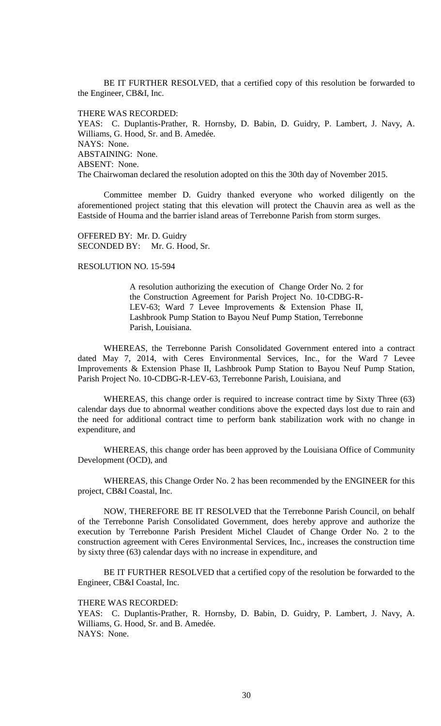BE IT FURTHER RESOLVED, that a certified copy of this resolution be forwarded to the Engineer, CB&I, Inc.

THERE WAS RECORDED:

YEAS: C. Duplantis-Prather, R. Hornsby, D. Babin, D. Guidry, P. Lambert, J. Navy, A. Williams, G. Hood, Sr. and B. Amedée. NAYS: None. ABSTAINING: None. ABSENT: None. The Chairwoman declared the resolution adopted on this the 30th day of November 2015.

Committee member D. Guidry thanked everyone who worked diligently on the aforementioned project stating that this elevation will protect the Chauvin area as well as the Eastside of Houma and the barrier island areas of Terrebonne Parish from storm surges.

OFFERED BY: Mr. D. Guidry SECONDED BY: Mr. G. Hood, Sr.

### RESOLUTION NO. 15-594

A resolution authorizing the execution of Change Order No. 2 for the Construction Agreement for Parish Project No. 10-CDBG-R-LEV-63; Ward 7 Levee Improvements & Extension Phase II, Lashbrook Pump Station to Bayou Neuf Pump Station, Terrebonne Parish, Louisiana.

WHEREAS, the Terrebonne Parish Consolidated Government entered into a contract dated May 7, 2014, with Ceres Environmental Services, Inc., for the Ward 7 Levee Improvements & Extension Phase II, Lashbrook Pump Station to Bayou Neuf Pump Station, Parish Project No. 10-CDBG-R-LEV-63, Terrebonne Parish, Louisiana, and

WHEREAS, this change order is required to increase contract time by Sixty Three (63) calendar days due to abnormal weather conditions above the expected days lost due to rain and the need for additional contract time to perform bank stabilization work with no change in expenditure, and

WHEREAS, this change order has been approved by the Louisiana Office of Community Development (OCD), and

WHEREAS, this Change Order No. 2 has been recommended by the ENGINEER for this project, CB&I Coastal, Inc.

NOW, THEREFORE BE IT RESOLVED that the Terrebonne Parish Council, on behalf of the Terrebonne Parish Consolidated Government, does hereby approve and authorize the execution by Terrebonne Parish President Michel Claudet of Change Order No. 2 to the construction agreement with Ceres Environmental Services, Inc., increases the construction time by sixty three (63) calendar days with no increase in expenditure, and

BE IT FURTHER RESOLVED that a certified copy of the resolution be forwarded to the Engineer, CB&I Coastal, Inc.

THERE WAS RECORDED:

YEAS: C. Duplantis-Prather, R. Hornsby, D. Babin, D. Guidry, P. Lambert, J. Navy, A. Williams, G. Hood, Sr. and B. Amedée. NAYS: None.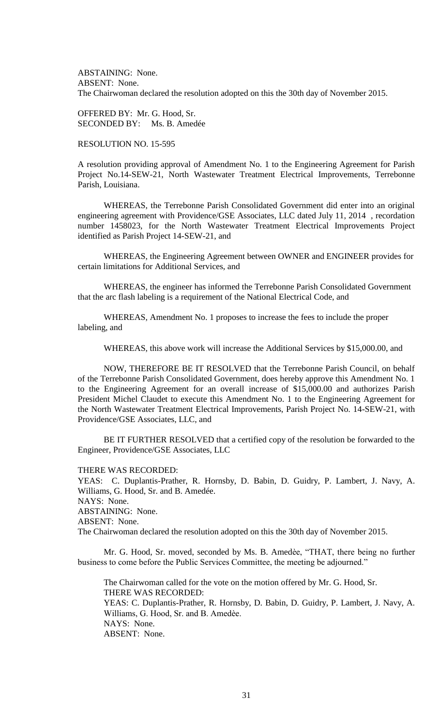ABSTAINING: None. ABSENT: None. The Chairwoman declared the resolution adopted on this the 30th day of November 2015.

OFFERED BY: Mr. G. Hood, Sr. SECONDED BY: Ms. B. Amedée

# RESOLUTION NO. 15-595

A resolution providing approval of Amendment No. 1 to the Engineering Agreement for Parish Project No.14-SEW-21, North Wastewater Treatment Electrical Improvements, Terrebonne Parish, Louisiana.

WHEREAS, the Terrebonne Parish Consolidated Government did enter into an original engineering agreement with Providence/GSE Associates, LLC dated July 11, 2014 , recordation number 1458023, for the North Wastewater Treatment Electrical Improvements Project identified as Parish Project 14-SEW-21, and

WHEREAS, the Engineering Agreement between OWNER and ENGINEER provides for certain limitations for Additional Services, and

WHEREAS, the engineer has informed the Terrebonne Parish Consolidated Government that the arc flash labeling is a requirement of the National Electrical Code, and

WHEREAS, Amendment No. 1 proposes to increase the fees to include the proper labeling, and

WHEREAS, this above work will increase the Additional Services by \$15,000.00, and

NOW, THEREFORE BE IT RESOLVED that the Terrebonne Parish Council, on behalf of the Terrebonne Parish Consolidated Government, does hereby approve this Amendment No. 1 to the Engineering Agreement for an overall increase of \$15,000.00 and authorizes Parish President Michel Claudet to execute this Amendment No. 1 to the Engineering Agreement for the North Wastewater Treatment Electrical Improvements, Parish Project No. 14-SEW-21, with Providence/GSE Associates, LLC, and

BE IT FURTHER RESOLVED that a certified copy of the resolution be forwarded to the Engineer, Providence/GSE Associates, LLC

THERE WAS RECORDED:

YEAS: C. Duplantis-Prather, R. Hornsby, D. Babin, D. Guidry, P. Lambert, J. Navy, A. Williams, G. Hood, Sr. and B. Amedée. NAYS: None. ABSTAINING: None.

ABSENT: None.

The Chairwoman declared the resolution adopted on this the 30th day of November 2015.

Mr. G. Hood, Sr. moved, seconded by Ms. B. Amedèe, "THAT, there being no further business to come before the Public Services Committee, the meeting be adjourned."

The Chairwoman called for the vote on the motion offered by Mr. G. Hood, Sr. THERE WAS RECORDED: YEAS: C. Duplantis-Prather, R. Hornsby, D. Babin, D. Guidry, P. Lambert, J. Navy, A. Williams, G. Hood, Sr. and B. Amedèe. NAYS: None. ABSENT: None.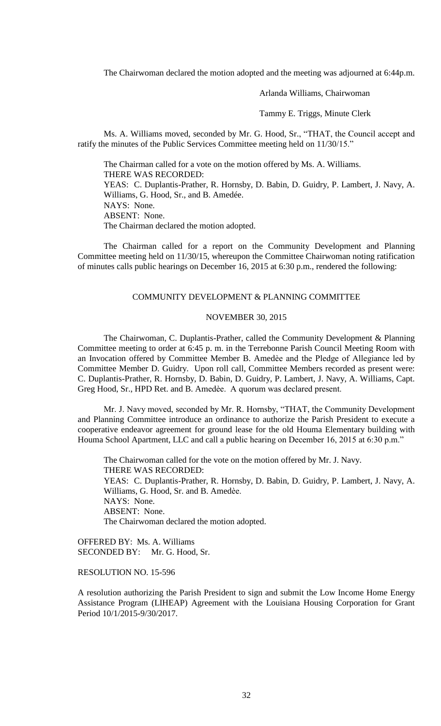The Chairwoman declared the motion adopted and the meeting was adjourned at 6:44p.m.

Arlanda Williams, Chairwoman

Tammy E. Triggs, Minute Clerk

Ms. A. Williams moved, seconded by Mr. G. Hood, Sr., "THAT, the Council accept and ratify the minutes of the Public Services Committee meeting held on 11/30/15."

The Chairman called for a vote on the motion offered by Ms. A. Williams. THERE WAS RECORDED: YEAS: C. Duplantis-Prather, R. Hornsby, D. Babin, D. Guidry, P. Lambert, J. Navy, A. Williams, G. Hood, Sr., and B. Amedée. NAYS: None. ABSENT: None. The Chairman declared the motion adopted.

The Chairman called for a report on the Community Development and Planning Committee meeting held on 11/30/15, whereupon the Committee Chairwoman noting ratification of minutes calls public hearings on December 16, 2015 at 6:30 p.m., rendered the following:

### COMMUNITY DEVELOPMENT & PLANNING COMMITTEE

### NOVEMBER 30, 2015

The Chairwoman, C. Duplantis-Prather, called the Community Development & Planning Committee meeting to order at 6:45 p. m. in the Terrebonne Parish Council Meeting Room with an Invocation offered by Committee Member B. Amedѐe and the Pledge of Allegiance led by Committee Member D. Guidry. Upon roll call, Committee Members recorded as present were: C. Duplantis-Prather, R. Hornsby, D. Babin, D. Guidry, P. Lambert, J. Navy, A. Williams, Capt. Greg Hood, Sr., HPD Ret. and B. Amedѐe. A quorum was declared present.

Mr. J. Navy moved, seconded by Mr. R. Hornsby, "THAT, the Community Development and Planning Committee introduce an ordinance to authorize the Parish President to execute a cooperative endeavor agreement for ground lease for the old Houma Elementary building with Houma School Apartment, LLC and call a public hearing on December 16, 2015 at 6:30 p.m."

The Chairwoman called for the vote on the motion offered by Mr. J. Navy. THERE WAS RECORDED: YEAS: C. Duplantis-Prather, R. Hornsby, D. Babin, D. Guidry, P. Lambert, J. Navy, A. Williams, G. Hood, Sr. and B. Amedèe. NAYS: None. ABSENT: None. The Chairwoman declared the motion adopted.

OFFERED BY: Ms. A. Williams SECONDED BY: Mr. G. Hood, Sr.

RESOLUTION NO. 15-596

A resolution authorizing the Parish President to sign and submit the Low Income Home Energy Assistance Program (LIHEAP) Agreement with the Louisiana Housing Corporation for Grant Period 10/1/2015-9/30/2017.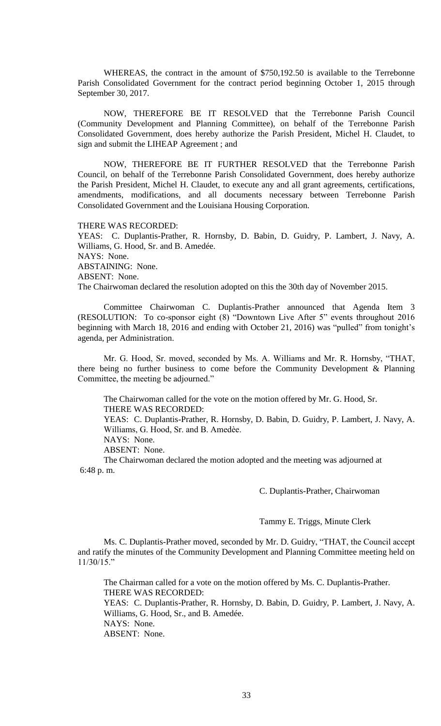WHEREAS, the contract in the amount of \$750,192.50 is available to the Terrebonne Parish Consolidated Government for the contract period beginning October 1, 2015 through September 30, 2017.

NOW, THEREFORE BE IT RESOLVED that the Terrebonne Parish Council (Community Development and Planning Committee), on behalf of the Terrebonne Parish Consolidated Government, does hereby authorize the Parish President, Michel H. Claudet, to sign and submit the LIHEAP Agreement ; and

NOW, THEREFORE BE IT FURTHER RESOLVED that the Terrebonne Parish Council, on behalf of the Terrebonne Parish Consolidated Government, does hereby authorize the Parish President, Michel H. Claudet, to execute any and all grant agreements, certifications, amendments, modifications, and all documents necessary between Terrebonne Parish Consolidated Government and the Louisiana Housing Corporation.

THERE WAS RECORDED:

YEAS: C. Duplantis-Prather, R. Hornsby, D. Babin, D. Guidry, P. Lambert, J. Navy, A. Williams, G. Hood, Sr. and B. Amedée. NAYS: None. ABSTAINING: None. ABSENT: None. The Chairwoman declared the resolution adopted on this the 30th day of November 2015.

Committee Chairwoman C. Duplantis-Prather announced that Agenda Item 3 (RESOLUTION: To co-sponsor eight (8) "Downtown Live After 5" events throughout 2016 beginning with March 18, 2016 and ending with October 21, 2016) was "pulled" from tonight's agenda, per Administration.

Mr. G. Hood, Sr. moved, seconded by Ms. A. Williams and Mr. R. Hornsby, "THAT, there being no further business to come before the Community Development & Planning Committee, the meeting be adjourned."

The Chairwoman called for the vote on the motion offered by Mr. G. Hood, Sr. THERE WAS RECORDED:

YEAS: C. Duplantis-Prather, R. Hornsby, D. Babin, D. Guidry, P. Lambert, J. Navy, A. Williams, G. Hood, Sr. and B. Amedèe.

NAYS: None.

ABSENT: None.

The Chairwoman declared the motion adopted and the meeting was adjourned at 6:48 p. m.

C. Duplantis-Prather, Chairwoman

Tammy E. Triggs, Minute Clerk

Ms. C. Duplantis-Prather moved, seconded by Mr. D. Guidry, "THAT, the Council accept and ratify the minutes of the Community Development and Planning Committee meeting held on 11/30/15."

The Chairman called for a vote on the motion offered by Ms. C. Duplantis-Prather. THERE WAS RECORDED:

YEAS: C. Duplantis-Prather, R. Hornsby, D. Babin, D. Guidry, P. Lambert, J. Navy, A. Williams, G. Hood, Sr., and B. Amedée. NAYS: None.

ABSENT: None.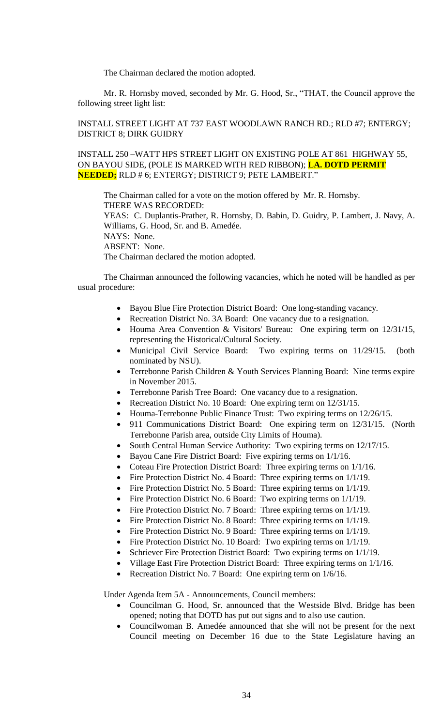The Chairman declared the motion adopted.

Mr. R. Hornsby moved, seconded by Mr. G. Hood, Sr., "THAT, the Council approve the following street light list:

# INSTALL STREET LIGHT AT 737 EAST WOODLAWN RANCH RD.; RLD #7; ENTERGY; DISTRICT 8; DIRK GUIDRY

INSTALL 250 –WATT HPS STREET LIGHT ON EXISTING POLE AT 861 HIGHWAY 55, ON BAYOU SIDE, (POLE IS MARKED WITH RED RIBBON); **LA. DOTD PERMIT NEEDED;** RLD # 6; ENTERGY; DISTRICT 9; PETE LAMBERT."

The Chairman called for a vote on the motion offered by Mr. R. Hornsby. THERE WAS RECORDED: YEAS: C. Duplantis-Prather, R. Hornsby, D. Babin, D. Guidry, P. Lambert, J. Navy, A. Williams, G. Hood, Sr. and B. Amedée. NAYS: None. ABSENT: None. The Chairman declared the motion adopted.

The Chairman announced the following vacancies, which he noted will be handled as per usual procedure:

- Bayou Blue Fire Protection District Board: One long-standing vacancy.
- Recreation District No. 3A Board: One vacancy due to a resignation.
- Houma Area Convention & Visitors' Bureau: One expiring term on 12/31/15, representing the Historical/Cultural Society.
- Municipal Civil Service Board: Two expiring terms on 11/29/15. (both nominated by NSU).
- Terrebonne Parish Children & Youth Services Planning Board: Nine terms expire in November 2015.
- Terrebonne Parish Tree Board: One vacancy due to a resignation.
- Recreation District No. 10 Board: One expiring term on 12/31/15.
- Houma-Terrebonne Public Finance Trust: Two expiring terms on 12/26/15.
- 911 Communications District Board: One expiring term on 12/31/15. (North Terrebonne Parish area, outside City Limits of Houma).
- South Central Human Service Authority: Two expiring terms on 12/17/15.
- Bayou Cane Fire District Board: Five expiring terms on  $1/1/16$ .
- Coteau Fire Protection District Board: Three expiring terms on 1/1/16.
- Fire Protection District No. 4 Board: Three expiring terms on  $1/1/19$ .
- Fire Protection District No. 5 Board: Three expiring terms on  $1/1/19$ .
- Fire Protection District No. 6 Board: Two expiring terms on  $1/1/19$ .
- Fire Protection District No. 7 Board: Three expiring terms on 1/1/19.
- Fire Protection District No. 8 Board: Three expiring terms on 1/1/19.
- Fire Protection District No. 9 Board: Three expiring terms on 1/1/19.
- Fire Protection District No. 10 Board: Two expiring terms on  $1/1/19$ .
- Schriever Fire Protection District Board: Two expiring terms on 1/1/19.
- Village East Fire Protection District Board: Three expiring terms on 1/1/16.
- Recreation District No. 7 Board: One expiring term on 1/6/16.

Under Agenda Item 5A - Announcements, Council members:

- Councilman G. Hood, Sr. announced that the Westside Blvd. Bridge has been opened; noting that DOTD has put out signs and to also use caution.
- Councilwoman B. Amedée announced that she will not be present for the next Council meeting on December 16 due to the State Legislature having an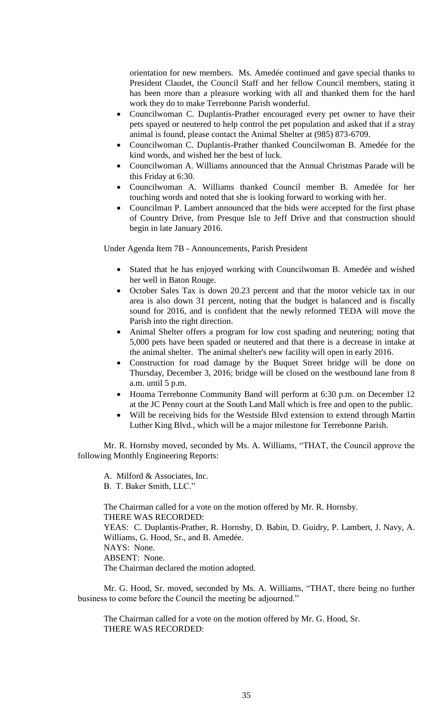orientation for new members. Ms. Amedée continued and gave special thanks to President Claudet, the Council Staff and her fellow Council members, stating it has been more than a pleasure working with all and thanked them for the hard work they do to make Terrebonne Parish wonderful.

- Councilwoman C. Duplantis-Prather encouraged every pet owner to have their pets spayed or neutered to help control the pet population and asked that if a stray animal is found, please contact the Animal Shelter at (985) 873-6709.
- Councilwoman C. Duplantis-Prather thanked Councilwoman B. Amedée for the kind words, and wished her the best of luck.
- Councilwoman A. Williams announced that the Annual Christmas Parade will be this Friday at 6:30.
- Councilwoman A. Williams thanked Council member B. Amedée for her touching words and noted that she is looking forward to working with her.
- Councilman P. Lambert announced that the bids were accepted for the first phase of Country Drive, from Presque Isle to Jeff Drive and that construction should begin in late January 2016.

Under Agenda Item 7B - Announcements, Parish President

- Stated that he has enjoyed working with Councilwoman B. Amedée and wished her well in Baton Rouge.
- October Sales Tax is down 20.23 percent and that the motor vehicle tax in our area is also down 31 percent, noting that the budget is balanced and is fiscally sound for 2016, and is confident that the newly reformed TEDA will move the Parish into the right direction.
- Animal Shelter offers a program for low cost spading and neutering; noting that 5,000 pets have been spaded or neutered and that there is a decrease in intake at the animal shelter. The animal shelter's new facility will open in early 2016.
- Construction for road damage by the Buquet Street bridge will be done on Thursday, December 3, 2016; bridge will be closed on the westbound lane from 8 a.m. until 5 p.m.
- Houma Terrebonne Community Band will perform at 6:30 p.m. on December 12 at the JC Penny court at the South Land Mall which is free and open to the public.
- Will be receiving bids for the Westside Blvd extension to extend through Martin Luther King Blvd., which will be a major milestone for Terrebonne Parish.

Mr. R. Hornsby moved, seconded by Ms. A. Williams, "THAT, the Council approve the following Monthly Engineering Reports:

A. Milford & Associates, Inc.

B. T. Baker Smith, LLC."

The Chairman called for a vote on the motion offered by Mr. R. Hornsby. THERE WAS RECORDED: YEAS: C. Duplantis-Prather, R. Hornsby, D. Babin, D. Guidry, P. Lambert, J. Navy, A. Williams, G. Hood, Sr., and B. Amedée. NAYS: None. ABSENT: None. The Chairman declared the motion adopted.

Mr. G. Hood, Sr. moved, seconded by Ms. A. Williams, "THAT, there being no further business to come before the Council the meeting be adjourned."

The Chairman called for a vote on the motion offered by Mr. G. Hood, Sr. THERE WAS RECORDED: